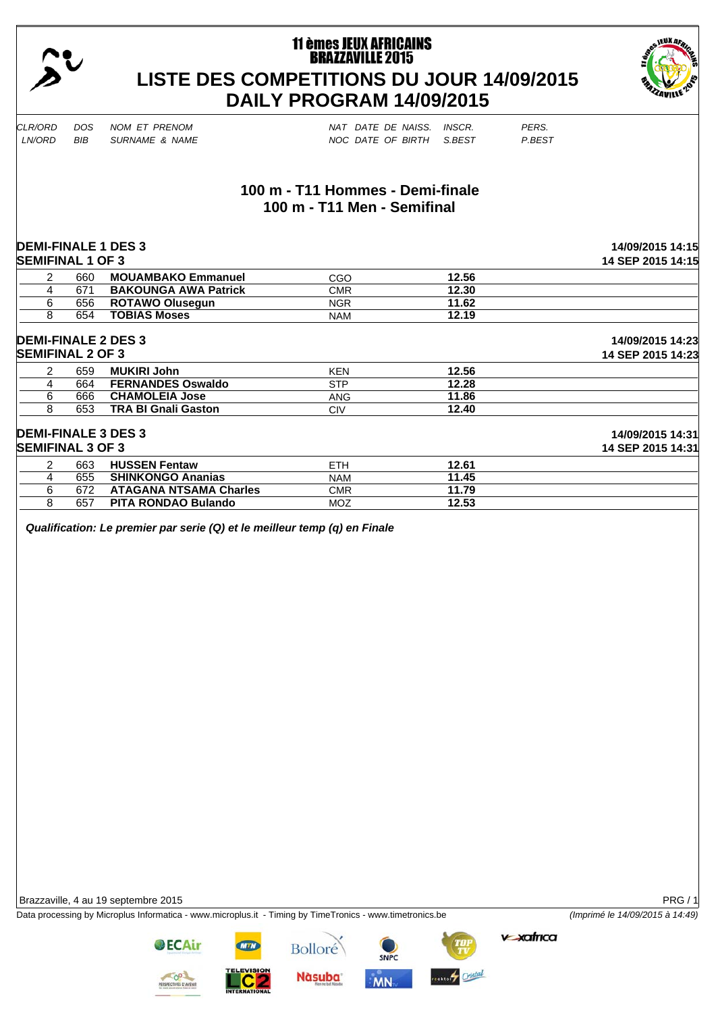

# **11 èmes JEUX AFRICAINS BRAZZAVILLE 2015 LISTE DES COMPETITIONS DU JOUR 14/09/2015 DAILY PROGRAM 14/09/2015**



*CLR/ORD DOS NOM ET PRENOM NAT DATE DE NAISS. INSCR. PERS.*

*LNB* SURNAME & NAME NOC DATE OF BIRTH S.BEST P.BEST

## **100 m - T11 Hommes - Demi-finale 100 m - T11 Men - Semifinal**

|                |                         | <b>DEMI-FINALE 1 DES 3</b>    |            |       | 14/09/2015 14:15  |
|----------------|-------------------------|-------------------------------|------------|-------|-------------------|
|                | <b>SEMIFINAL 1 OF 3</b> |                               |            |       | 14 SEP 2015 14:15 |
| $\overline{2}$ | 660                     | <b>MOUAMBAKO Emmanuel</b>     | CGO        | 12.56 |                   |
| 4              | 671                     | <b>BAKOUNGA AWA Patrick</b>   | <b>CMR</b> | 12.30 |                   |
| 6              | 656                     | <b>ROTAWO Olusegun</b>        | <b>NGR</b> | 11.62 |                   |
| 8              | 654                     | <b>TOBIAS Moses</b>           | <b>NAM</b> | 12.19 |                   |
|                |                         | <b>DEMI-FINALE 2 DES 3</b>    |            |       | 14/09/2015 14:23  |
|                | <b>SEMIFINAL 2 OF 3</b> |                               |            |       | 14 SEP 2015 14:23 |
| 2              | 659                     | <b>MUKIRI John</b>            | <b>KEN</b> | 12.56 |                   |
| 4              | 664                     | <b>FERNANDES Oswaldo</b>      | <b>STP</b> | 12.28 |                   |
| 6              | 666                     | <b>CHAMOLEIA Jose</b>         | <b>ANG</b> | 11.86 |                   |
| 8              | 653                     | <b>TRA BI Gnali Gaston</b>    | <b>CIV</b> | 12.40 |                   |
|                |                         | <b>DEMI-FINALE 3 DES 3</b>    |            |       | 14/09/2015 14:31  |
|                | <b>SEMIFINAL 3 OF 3</b> |                               |            |       | 14 SEP 2015 14:31 |
| 2              | 663                     | <b>HUSSEN Fentaw</b>          | <b>ETH</b> | 12.61 |                   |
| 4              | 655                     | <b>SHINKONGO Ananias</b>      | <b>NAM</b> | 11.45 |                   |
| 6              | 672                     | <b>ATAGANA NTSAMA Charles</b> | <b>CMR</b> | 11.79 |                   |

*Qualification: Le premier par serie (Q) et le meilleur temp (q) en Finale* 

8 657 **PITA RONDAO Bulando** MOZ **12.53**

Brazzaville, 4 au 19 septembre 2015 PRG / 1

Data processing by Microplus Informatica - www.microplus.it - Timing by TimeTronics - www.timetronics.be *(Imprimé le 14/09/2015 à 14:49)*

**v xafrica** 

**OECAir** 



**Bolloré** 



**MN** 

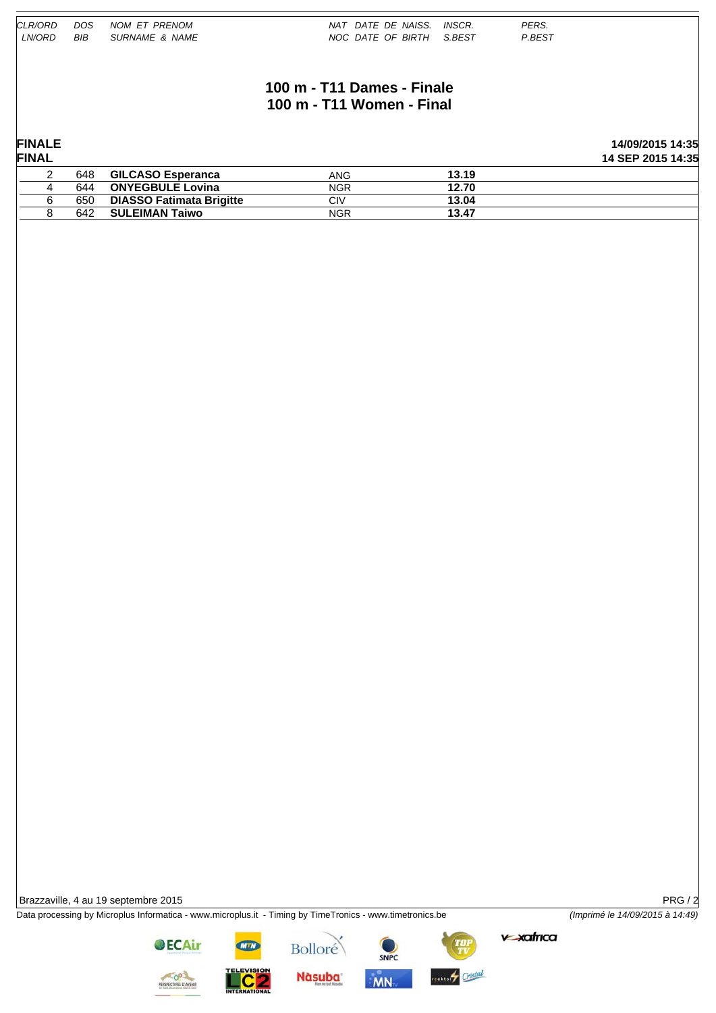| CLR/ORD<br><i>LN/ORD</i> | DOS.<br>BIB | NOM ET PRENOM<br>SURNAME & NAME | PERS.<br>NAT DATE DE NAISS. INSCR.<br>P.BEST<br>NOC DATE OF BIRTH<br>S.BEST |
|--------------------------|-------------|---------------------------------|-----------------------------------------------------------------------------|
|                          |             |                                 | 100 m - T11 Dames - Finale<br>100 m - T11 Women - Final                     |

| <b>FINALE</b><br><b>FINAL</b> |     |                                 |            |       | 14/09/2015 14:35<br>14 SEP 2015 14:35 |
|-------------------------------|-----|---------------------------------|------------|-------|---------------------------------------|
|                               | 648 | <b>GILCASO Esperanca</b>        | ANG        | 13.19 |                                       |
|                               | 644 | <b>ONYEGBULE Lovina</b>         | <b>NGR</b> | 12.70 |                                       |
|                               | 650 | <b>DIASSO Fatimata Brigitte</b> | CIV        | 13.04 |                                       |
|                               | 642 | <b>SULEIMAN Taiwo</b>           | <b>NGR</b> | 13.47 |                                       |

Brazzaville, 4 au 19 septembre 2015 PRG / 2

Data processing by Microplus Informatica - www.microplus.it - Timing by TimeTronics - www.timetronics.be *(Imprimé le 14/09/2015 à 14:49)*

**C<sub>2</sub>** 

Bolloré

**Nàsuba** 

SNPC

 $MN$ 

ester Cristal

vexatrica



**OECAir**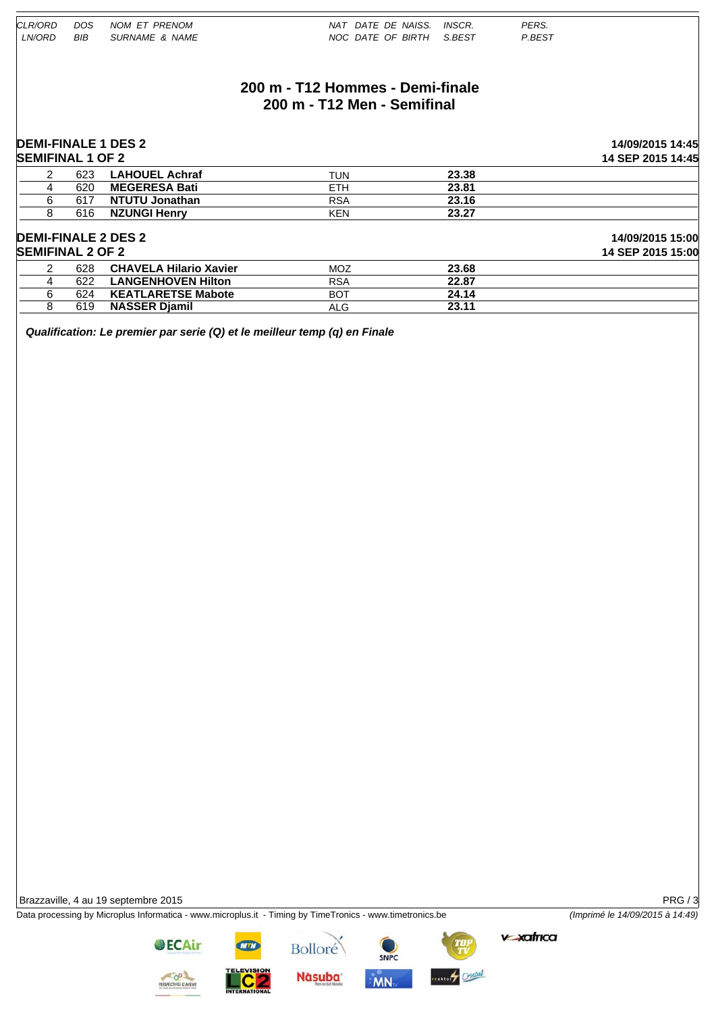## **200 m - T12 Hommes - Demi-finale 200 m - T12 Men - Semifinal**

#### **DEMI-FINALE 1 DES 2 14/09/2015 14:45 SEMIFINAL 1 OF 2 14 SEP 2015 14:45** 2 623 **LAHOUEL Achraf** TUN **23.38** 4 620 **MEGERESA Bati** ETH **23.81** 6 617 **NTUTU Jonathan** RSA **23.16** 8 616 **NZUNGI Henry** KEN **23.27 DEMI-FINALE 2 DES 2 14/09/2015 15:00 SEMIFINAL 2 OF 2 14 SEP 2015 15:00** 2 628 **CHAVELA Hilario Xavier** MOZ **23.68 LANGENHOVEN Hilton** RSA 22.87 6 624 **KEATLARETSE Mabote** BOT **24.14** 8 619 **NASSER Djamil** ALG **23.11**

*Qualification: Le premier par serie (Q) et le meilleur temp (q) en Finale* 

Brazzaville, 4 au 19 septembre 2015 **PRG / 3** 

Data processing by Microplus Informatica - www.microplus.it - Timing by TimeTronics - www.timetronics.be *(Imprimé le 14/09/2015 à 14:49)*



**OECAir** 

**Bolloré** 

**Nàsuba** 



**MN** 

exter Cristal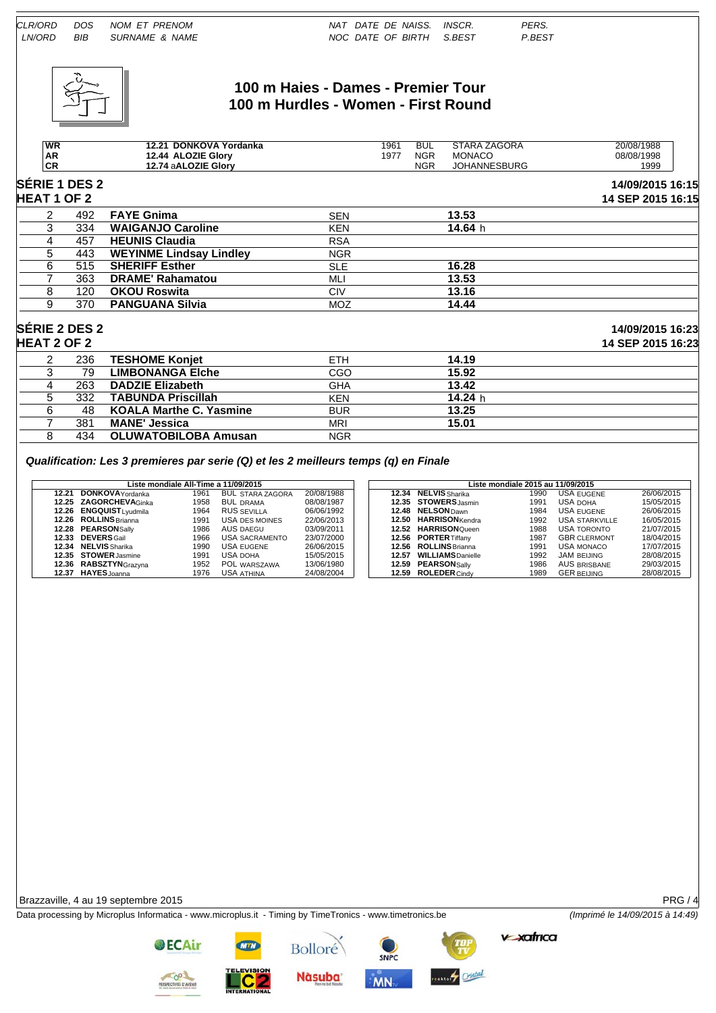

#### **100 m Haies - Dames - Premier Tour 100 m Hurdles - Women - First Round**

|                    | <b>WR</b><br>AR |                      | 12.21 DONKOVA Yordanka<br>12.44 ALOZIE Glory |            | 1961<br>1977 | <b>BUL</b><br><b>NGR</b> | STARA ZAGORA<br><b>MONACO</b> | 20/08/1988<br>08/08/1998              |
|--------------------|-----------------|----------------------|----------------------------------------------|------------|--------------|--------------------------|-------------------------------|---------------------------------------|
|                    | CR              | 12.74 aALOZIE Glory  |                                              |            |              | <b>NGR</b>               | <b>JOHANNESBURG</b>           | 1999                                  |
| <b>HEAT 1 OF 2</b> |                 | <b>SÉRIE 1 DES 2</b> |                                              |            |              |                          |                               | 14/09/2015 16:15<br>14 SEP 2015 16:15 |
|                    |                 | 492                  | <b>FAYE Gnima</b>                            | <b>SEN</b> |              |                          | 13.53                         |                                       |
|                    |                 | 334                  | <b>WAIGANJO Caroline</b>                     | <b>KEN</b> |              |                          | 14.64 h                       |                                       |
|                    |                 | 457                  | <b>HEUNIS Claudia</b>                        | <b>RSA</b> |              |                          |                               |                                       |
|                    |                 | 443                  | <b>WEYINME Lindsay Lindley</b>               | <b>NGR</b> |              |                          |                               |                                       |

**SÉRIE 2 DES 2 14/09/2015 16:23 HEAT 2 OF 2 14 SEP 2015 16:23**

| Qualification: Les 3 premieres par serie (Q) et les 2 meilleurs temps (q) en Finale |  |  |  |
|-------------------------------------------------------------------------------------|--|--|--|
|                                                                                     |  |  |  |

7 381 **MANE' Jessica** MRI 8 434 OLUWATOBILOBA Amusan NGR

6 515 **SHERIFF Esther** SLE **16.28** 7 363 **DRAME' Rahamatou** MLI **13.53** 8 120 **OKOU Roswita** CIV **13.16** 9 370 **PANGUANA Silvia** MOZ **14.44**

2 236 **TESHOME Konjet** ETH **14.19** 3 79 **LIMBONANGA Elche** CGO **15.92** 4 263 **DADZIE Elizabeth** GHA **13.42** 5 332 **TABUNDA Priscillah** KEN **14.24** h 6 48 **KOALA Marthe C. Yasmine** BUR **13.25**

|       | Liste mondiale All-Time a 11/09/2015 |      |                         |            | Liste mondiale 2015 au 11/09/2015 |                             |      |                     |            |  |
|-------|--------------------------------------|------|-------------------------|------------|-----------------------------------|-----------------------------|------|---------------------|------------|--|
| 12.21 | <b>DONKOVA</b> Yordanka              | 1961 | <b>BUL STARA ZAGORA</b> | 20/08/1988 |                                   | <b>12.34 NELVIS</b> Sharika | 1990 | USA EUGENE          | 26/06/2015 |  |
|       | 12.25 ZAGORCHEVAGinka                | 1958 | <b>BUL DRAMA</b>        | 08/08/1987 |                                   | 12.35 STOWERS Jasmin        | 1991 | USA DOHA            | 15/05/2015 |  |
|       | 12.26 ENGQUIST Lyudmila              | 1964 | RUS SEVILLA             | 06/06/1992 |                                   | 12.48 NELSON Dawn           | 1984 | USA EUGENE          | 26/06/2015 |  |
|       | 12.26 ROLLINS Brianna                | 1991 | USA DES MOINES          | 22/06/2013 |                                   | 12.50 HARRISON Kendra       | 1992 | USA STARKVILLE      | 16/05/2015 |  |
|       | 12.28 PEARSONSally                   | 1986 | AUS DAEGU               | 03/09/2011 |                                   | 12.52 HARRISONOueen         | 1988 | <b>USA TORONTO</b>  | 21/07/2015 |  |
|       | 12.33 DEVERS Gail                    | 1966 | USA SACRAMENTO          | 23/07/2000 |                                   | 12.56 PORTER Tiffany        | 1987 | <b>GBR CLERMONT</b> | 18/04/2015 |  |
|       | 12.34 NELVIS Sharika                 | 1990 | USA EUGENE              | 26/06/2015 |                                   | 12.56 ROLLINS Brianna       | 1991 | USA MONACO          | 17/07/2015 |  |
|       | 12.35 STOWER Jasmine                 | 1991 | USA DOHA                | 15/05/2015 | 12.57                             | <b>WILLIAMS</b> Danielle    | 1992 | <b>JAM BEIJING</b>  | 28/08/2015 |  |
|       | 12.36 RABSZTYNGrazyna                | 1952 | POL WARSZAWA            | 13/06/1980 |                                   | 12.59 PEARSONSally          | 1986 | <b>AUS BRISBANE</b> | 29/03/2015 |  |
|       | 12.37 HAYES Joanna                   | 1976 | <b>USA ATHINA</b>       | 24/08/2004 |                                   | 12.59 ROLEDER Cindy         | 1989 | <b>GER BEIJING</b>  | 28/08/2015 |  |

Brazzaville, 4 au 19 septembre 2015 **PRG / 4** 

Data processing by Microplus Informatica - www.microplus.it - Timing by TimeTronics - www.timetronics.be *(Imprimé le 14/09/2015 à 14:49)*



**Nàsuba** 

**Bolloré** 



**MN** 





**v xafrica**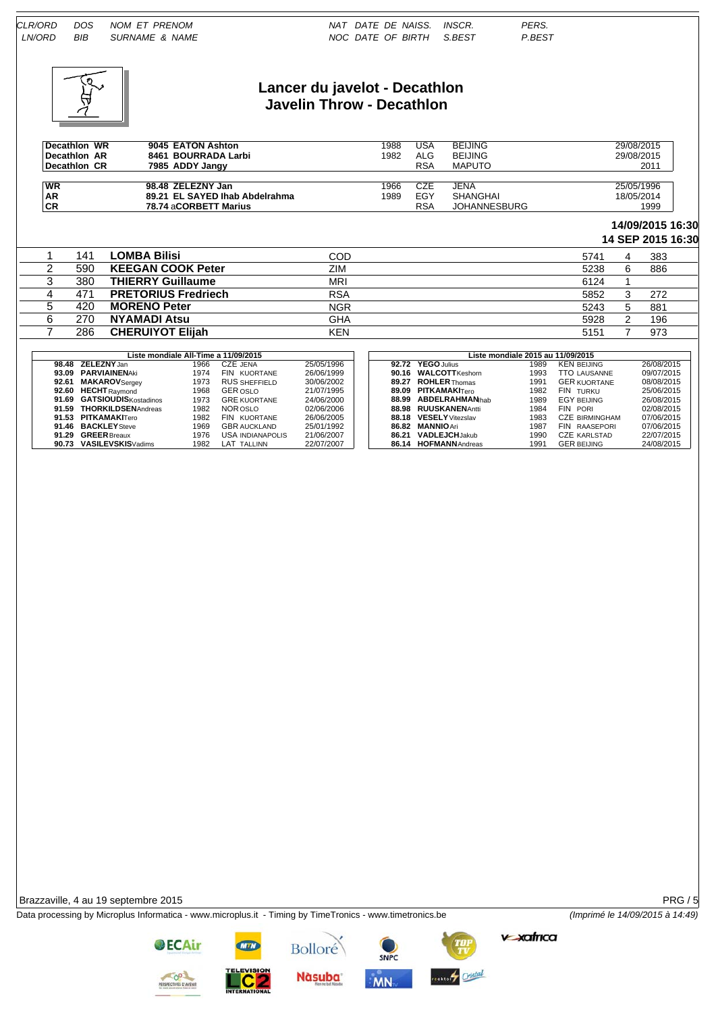

#### **Lancer du javelot - Decathlon Javelin Throw - Decathlon**

| Decathion WR<br>Decathion AR<br>Decathlon CR | 9045 EATON Ashton<br>8461 BOURRADA Larbi<br>7985 ADDY Jangy | 1988<br>1982 | USA<br>ALG<br>RSA | <b>BEIJING</b><br><b>BEIJING</b><br><b>MAPUTO</b> | 29/08/2015<br>29/08/2015<br>2011 |
|----------------------------------------------|-------------------------------------------------------------|--------------|-------------------|---------------------------------------------------|----------------------------------|
| WR                                           | 98.48 ZELEZNY Jan                                           | 1966         | CZE               | JENA                                              | 25/05/1996                       |
| <b>AR</b>                                    | 89.21 EL SAYED Ihab Abdelrahma                              | 1989         | EGY               | <b>SHANGHAI</b>                                   | 18/05/2014                       |
| <b>CR</b>                                    | 78.74 aCORBETT Marius                                       |              | RSA               | <b>JOHANNESBURG</b>                               | 1999                             |

# **14/09/2015 16:30**

|  |     |                            |            |      |   | 14 SEP 2015 16:30 |
|--|-----|----------------------------|------------|------|---|-------------------|
|  | 141 | <b>LOMBA Bilisi</b>        | COD        | 5741 | 4 | 383               |
|  | 590 | <b>KEEGAN COOK Peter</b>   | ZIM        | 5238 | 6 | 886               |
|  | 380 | <b>THIERRY Guillaume</b>   | <b>MRI</b> | 6124 |   |                   |
|  | 471 | <b>PRETORIUS Fredriech</b> | <b>RSA</b> | 5852 |   | 272               |
|  | 420 | <b>MORENO Peter</b>        | <b>NGR</b> | 5243 | 5 | 881               |
|  | 270 | <b>NYAMADI Atsu</b>        | <b>GHA</b> | 5928 | ົ | 196               |
|  | 286 | <b>CHERUIYOT Elijah</b>    | <b>KEN</b> | 5151 |   | 973               |
|  |     |                            |            |      |   |                   |

| Liste mondiale All-Time a 11/09/2015 |      |                      |            | Liste mondiale 2015 au 11/09/2015 |                        |      |                       |            |
|--------------------------------------|------|----------------------|------------|-----------------------------------|------------------------|------|-----------------------|------------|
| 98.48 ZELEZNYJan                     | 1966 | CZE JENA             | 25/05/1996 |                                   | 92.72 YEGO Julius      | 1989 | <b>KEN BEIJING</b>    | 26/08/2015 |
| 93.09 PARVIAINENAki                  | 1974 | FIN KUORTANE         | 26/06/1999 |                                   | 90.16 WALCOTT Keshorn  | 1993 | <b>TTO LAUSANNE</b>   | 09/07/2015 |
| 92.61 MAKAROVSergey                  | 1973 | <b>RUS SHEFFIELD</b> | 30/06/2002 |                                   | 89.27 ROHLER Thomas    | 1991 | <b>GER KUORTANE</b>   | 08/08/2015 |
| 92.60 HECHT Raymond                  | 1968 | <b>GER OSLO</b>      | 21/07/1995 |                                   | 89.09 PITKAMAKITero    | 1982 | FIN TURKU             | 25/06/2015 |
| 91.69 GATSIOUDISKostadinos           | 1973 | <b>GRE KUORTANE</b>  | 24/06/2000 |                                   | 88.99 ABDELRAHMANhab   | 1989 | EGY BEIJING           | 26/08/2015 |
| 91.59 THORKILDSENAndreas             | 1982 | NOR OSLO             | 02/06/2006 |                                   | 88.98 RUUSKANENAntti   | 1984 | FIN PORL              | 02/08/2015 |
| 91.53 PITKAMAKITero                  | 1982 | FIN KUORTANE         | 26/06/2005 |                                   | 88.18 VESELY Vitezslav | 1983 | <b>CZE BIRMINGHAM</b> | 07/06/2015 |
| 91.46 BACKLEY Steve                  | 1969 | <b>GBR AUCKLAND</b>  | 25/01/1992 |                                   | 86.82 MANNIO Ari       | 1987 | FIN RAASEPORI         | 07/06/2015 |
| 91.29 GREER Breaux                   | 1976 | USA INDIANAPOLIS     | 21/06/2007 |                                   | 86.21 VADLEJCHJakub    | 1990 | <b>CZE KARLSTAD</b>   | 22/07/2015 |
| 90.73 VASILEVSKISVadims              | 1982 | LAT TALLINN          | 22/07/2007 |                                   | 86.14 HOFMANN Andreas  | 1991 | <b>GER BEIJING</b>    | 24/08/2015 |

| Liste mondiale 2015 au 11/09/2015 |                         |      |                                |            |  |  |  |  |  |
|-----------------------------------|-------------------------|------|--------------------------------|------------|--|--|--|--|--|
| 92.72                             | YEGO Julius             | 1989 | <b>KEN BEIJING</b>             | 26/08/2015 |  |  |  |  |  |
| 90.16                             | <b>WALCOTT</b> Keshorn  | 1993 | <b>TTO LAUSANNE</b>            | 09/07/2015 |  |  |  |  |  |
| 89.27                             | <b>ROHLER Thomas</b>    | 1991 | <b>GER KUORTANE</b>            | 08/08/2015 |  |  |  |  |  |
| 89.09                             | <b>PITKAMAKITero</b>    | 1982 | FIN TURKU                      | 25/06/2015 |  |  |  |  |  |
| 88.99                             | <b>ABDELRAHMANIhab</b>  | 1989 | <b>EGY BEIJING</b>             | 26/08/2015 |  |  |  |  |  |
| 88.98                             | <b>RUUSKANENAntti</b>   | 1984 | FIN PORI                       | 02/08/2015 |  |  |  |  |  |
| 88.18                             | <b>VESELY</b> Vitezslav | 1983 | <b>CZE BIRMINGHAM</b>          | 07/06/2015 |  |  |  |  |  |
| 86.82                             | <b>MANNIO Ari</b>       | 1987 | <b>FIN</b><br><b>RAASEPORI</b> | 07/06/2015 |  |  |  |  |  |
| 86.21                             | <b>VADLEJCHJakub</b>    | 1990 | <b>CZE KARLSTAD</b>            | 22/07/2015 |  |  |  |  |  |
| 86.14                             | <b>HOFMANN</b> Andreas  | 1991 | <b>GER BEIJING</b>             | 24/08/2015 |  |  |  |  |  |
|                                   |                         |      |                                |            |  |  |  |  |  |

Brazzaville, 4 au 19 septembre 2015 PRG / 5

Data processing by Microplus Informatica - www.microplus.it - Timing by TimeTronics - www.timetronics.be *(Imprimé le 14/09/2015 à 14:49)*

**v-xafrica** 



**OECAir** 



**Nàsuba** 

Bolloré

SNPC estery Cristal **MN**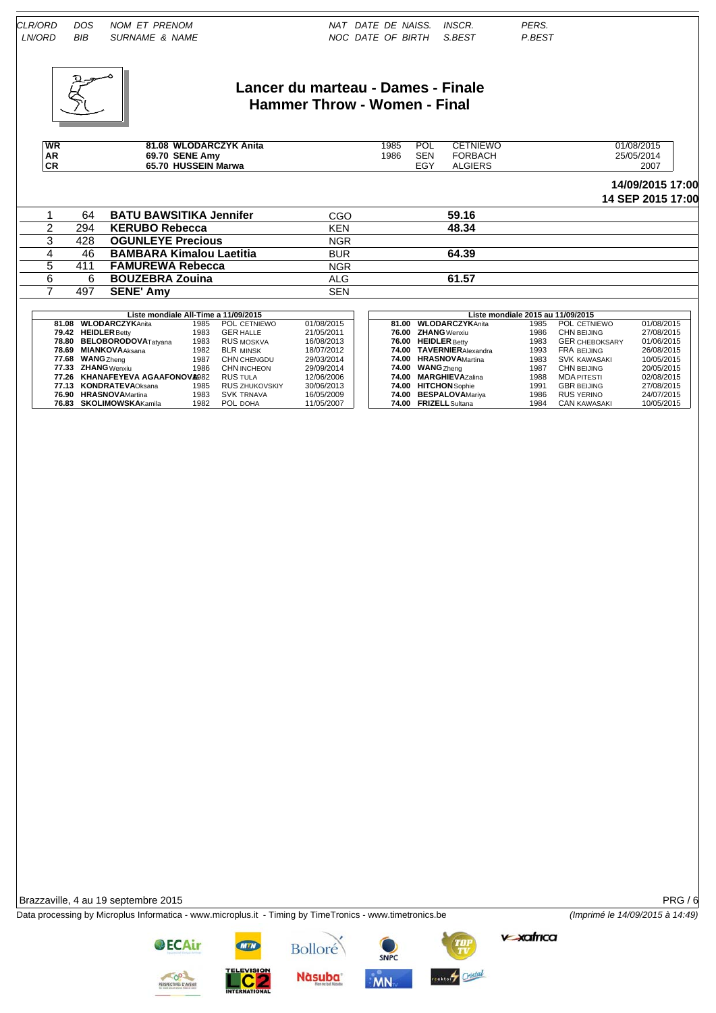

# **Lancer du marteau - Dames - Finale Hammer Throw - Women - Final**

| <b>WR</b> | 81.08 WLODARCZYK Anita | 985 | <b>POL</b> | CETNIEWO       | 01/08/2015 |
|-----------|------------------------|-----|------------|----------------|------------|
| <b>AR</b> | 69.70 SENE Amy         | 986 | <b>SEN</b> | FORBACH        | 25/05/2014 |
| <b>CR</b> | 65.70 HUSSEIN Marwa    |     | EGY        | <b>ALGIERS</b> | 2007       |

#### **14/09/2015 17:00 14 SEP 2015 17:00**

|   | 64  | <b>BATU BAWSITIKA Jennifer</b>  | CGO        | 59.16 |  |
|---|-----|---------------------------------|------------|-------|--|
|   | 294 | <b>KERUBO Rebecca</b>           | <b>KEN</b> | 48.34 |  |
|   | 428 | <b>OGUNLEYE Precious</b>        | <b>NGR</b> |       |  |
| 4 | 46  | <b>BAMBARA Kimalou Laetitia</b> | <b>BUR</b> | 64.39 |  |
|   | 411 | <b>FAMUREWA Rebecca</b>         | <b>NGR</b> |       |  |
|   |     | <b>BOUZEBRA Zouina</b>          | ALG        | 61.57 |  |
|   | 497 | <b>SENE' Amv</b>                | <b>SEN</b> |       |  |

|       | Liste mondiale All-Time a 11/09/2015 |      |                       |            | Liste mondiale 2015 au 11/09/2015 |                          |      |                       |            |  |  |
|-------|--------------------------------------|------|-----------------------|------------|-----------------------------------|--------------------------|------|-----------------------|------------|--|--|
|       | 81.08 WLODARCZYKAnita                | 1985 | POL CETNIEWO          | 01/08/2015 |                                   | 81.00 WLODARCZYKAnita    | 1985 | POL CETNIEWO          | 01/08/2015 |  |  |
|       | 79.42 HEIDLER Betty                  | 1983 | <b>GER HALLE</b>      | 21/05/2011 |                                   | 76.00 ZHANG Wenxiu       | 1986 | CHN BEIJING           | 27/08/2015 |  |  |
|       | 78.80 BELOBORODOVATatyana            | 1983 | <b>RUS MOSKVA</b>     | 16/08/2013 |                                   | 76.00 HEIDLER Betty      | 1983 | <b>GER CHEBOKSARY</b> | 01/06/2015 |  |  |
| 78.69 | <b>MIANKOVA</b> Aksana               | 1982 | <b>BLR MINSK</b>      | 18/07/2012 |                                   | 74.00 TAVERNIERAlexandra | 1993 | <b>FRA BEIJING</b>    | 26/08/2015 |  |  |
| 77.68 | <b>WANG</b> Zheng                    | 1987 | CHN CHENGDU           | 29/03/2014 |                                   | 74.00 HRASNOVAMartina    | 1983 | <b>SVK KAWASAKI</b>   | 10/05/2015 |  |  |
|       | 77.33 ZHANG Wenxiu                   | 1986 | <b>CHN INCHEON</b>    | 29/09/2014 |                                   | 74.00 WANG Zheng         | 1987 | CHN BEIJING           | 20/05/2015 |  |  |
|       | 77.26 KHANAFEYEVA AGAAFONOVA982      |      | <b>RUS TULA</b>       | 12/06/2006 |                                   | 74.00 MARGHIEVAZalina    | 1988 | MDA PITESTI           | 02/08/2015 |  |  |
|       | 77.13 KONDRATEVAOksana               | 1985 | <b>RUS ZHUKOVSKIY</b> | 30/06/2013 |                                   | 74.00 HITCHON Sophie     | 1991 | <b>GBR BEIJING</b>    | 27/08/2015 |  |  |
| 76.90 | <b>HRASNOVA</b> Martina              | 1983 | SVK trnava            | 16/05/2009 |                                   | 74.00 BESPALOVAMariya    | 1986 | <b>RUS YERINO</b>     | 24/07/2015 |  |  |
|       | 76.83 SKOLIMOWSKAKamila              | 1982 | POL DOHA              | 11/05/2007 |                                   | 74.00 FRIZELL Sultana    | 1984 | CAN KAWASAKI          | 10/05/2015 |  |  |

Brazzaville, 4 au 19 septembre 2015 PRG / 6

Data processing by Microplus Informatica - www.microplus.it - Timing by TimeTronics - www.timetronics.be *(Imprimé le 14/09/2015 à 14:49)*

**v-xafrica** 

**OECAir** 

**Nàsuba** 

Bolloré



**MN**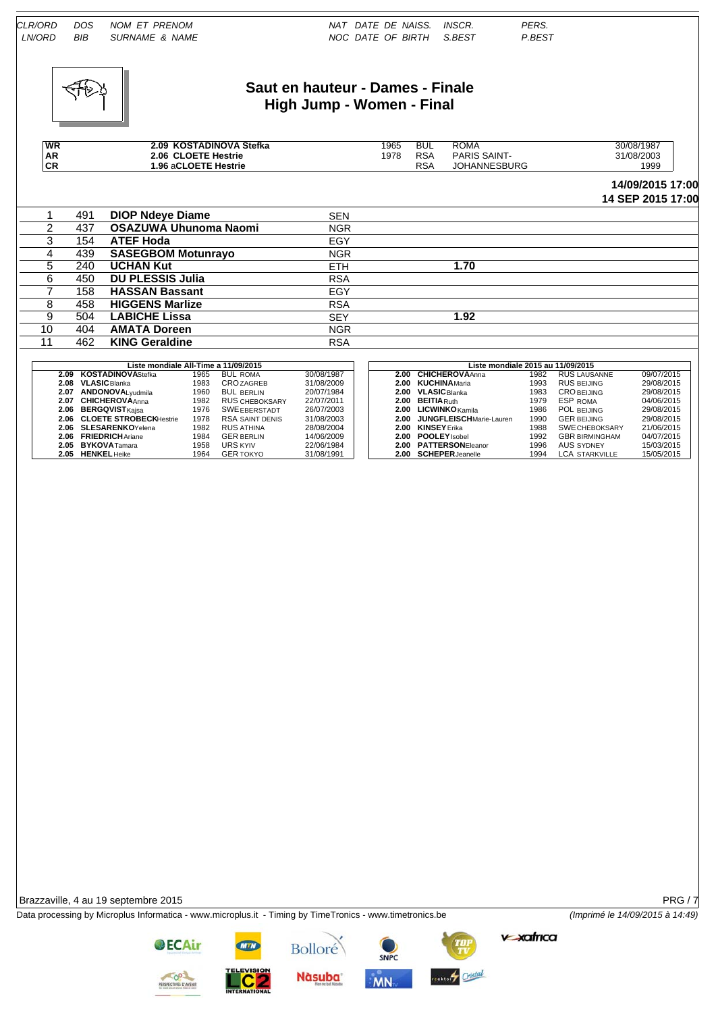

# **Saut en hauteur - Dames - Finale High Jump - Women - Final**

| <b>WR</b>      |     | 2.09 KOSTADINOVA Stefka              |            | 1965 | <b>BUL</b> | <b>ROMA</b>                       | 30/08/1987        |
|----------------|-----|--------------------------------------|------------|------|------------|-----------------------------------|-------------------|
| <b>AR</b>      |     | 2.06 CLOETE Hestrie                  |            | 1978 | <b>RSA</b> | <b>PARIS SAINT-</b>               | 31/08/2003        |
| <b>CR</b>      |     | 1.96 aCLOETE Hestrie                 |            |      | <b>RSA</b> | <b>JOHANNESBURG</b>               | 1999              |
|                |     |                                      |            |      |            |                                   | 14/09/2015 17:00  |
|                |     |                                      |            |      |            |                                   | 14 SEP 2015 17:00 |
|                | 491 | <b>DIOP Ndeve Diame</b>              | <b>SEN</b> |      |            |                                   |                   |
| $\overline{2}$ | 437 | OSAZUWA Uhunoma Naomi                | <b>NGR</b> |      |            |                                   |                   |
| 3              | 154 | <b>ATEF Hoda</b>                     | EGY        |      |            |                                   |                   |
| 4              | 439 | <b>SASEGBOM Motunrayo</b>            | <b>NGR</b> |      |            |                                   |                   |
| 5.             | 240 | <b>UCHAN Kut</b>                     | ETH.       |      |            | 1.70                              |                   |
| 6              | 450 | <b>DU PLESSIS Julia</b>              | <b>RSA</b> |      |            |                                   |                   |
|                | 158 | <b>HASSAN Bassant</b>                | EGY        |      |            |                                   |                   |
| 8              | 458 | <b>HIGGENS Marlize</b>               | <b>RSA</b> |      |            |                                   |                   |
| 9              | 504 | <b>LABICHE Lissa</b>                 | <b>SEY</b> |      |            | 1.92                              |                   |
| 10             | 404 | <b>AMATA Doreen</b>                  | <b>NGR</b> |      |            |                                   |                   |
| 11             | 462 | <b>KING Geraldine</b>                | <b>RSA</b> |      |            |                                   |                   |
|                |     |                                      |            |      |            |                                   |                   |
|                |     | Liste mondiale All-Time a 11/09/2015 |            |      |            | Liste mondiale 2015 au 11/09/2015 |                   |

|      | Liste mondiale All-Time a 11/09/2015 |      |                        |            |
|------|--------------------------------------|------|------------------------|------------|
| 2.09 | <b>KOSTADINOVAStefka</b>             | 1965 | <b>BUL ROMA</b>        | 30/08/1987 |
| 2.08 | <b>VLASIC</b> Blanka                 | 1983 | <b>CROZAGREB</b>       | 31/08/2009 |
|      | 2.07 ANDONOVALvudmila                | 1960 | <b>BUL BERLIN</b>      | 20/07/1984 |
| 2.07 | <b>CHICHEROVAAnna</b>                | 1982 | <b>RUS CHEBOKSARY</b>  | 22/07/2011 |
|      | 2.06 BERGQVISTKaisa                  | 1976 | <b>SWE EBERSTADT</b>   | 26/07/2003 |
| 2.06 | <b>CLOETE STROBECKHestrie</b>        | 1978 | <b>RSA SAINT DENIS</b> | 31/08/2003 |
|      | 2.06 SLESARENKOYelena                | 1982 | <b>RUS ATHINA</b>      | 28/08/2004 |
| 2.06 | <b>FRIEDRICHAriane</b>               | 1984 | <b>GER BERLIN</b>      | 14/06/2009 |
|      | 2.05 BYKOVATamara                    | 1958 | <b>URS KYIV</b>        | 22/06/1984 |
| 2.05 | <b>HENKEL</b> Heike                  | 1964 | <b>GER TOKYO</b>       | 31/08/1991 |

| Liste mondiale All-Time a 11/09/2015 |      |                       |            | Liste mondiale 2015 au 11/09/2015 |                                 |      |                       |            |  |  |  |
|--------------------------------------|------|-----------------------|------------|-----------------------------------|---------------------------------|------|-----------------------|------------|--|--|--|
| 2.09 KOSTADINOVAStefka               | 1965 | <b>BUL ROMA</b>       | 30/08/1987 | 2.00                              | <b>CHICHEROVAAnna</b>           | 1982 | RUS LAUSANNE          | 09/07/2015 |  |  |  |
| 2.08 VLASIC Blanka                   | 1983 | <b>CROZAGREB</b>      | 31/08/2009 | 2.00                              | <b>KUCHINA</b> Maria            | 1993 | <b>RUS BEIJING</b>    | 29/08/2015 |  |  |  |
| 2.07 ANDONOVALvudmila                | 1960 | <b>BUL BERLIN</b>     | 20/07/1984 | 2.00                              | <b>VLASIC</b> Blanka            | 1983 | <b>CROBELJING</b>     | 29/08/2015 |  |  |  |
| 2.07 CHICHEROVAAnna                  | 1982 | <b>RUS CHEBOKSARY</b> | 22/07/2011 | 2.00                              | <b>BEITIA</b> Ruth              | 1979 | ESP ROMA              | 04/06/2015 |  |  |  |
| 2.06 BERGQVISTKaisa                  | 1976 | <b>SWE EBERSTADT</b>  | 26/07/2003 | 2.00                              | <b>LICWINKO</b> Kamila          | 1986 | POL BEIJING           | 29/08/2015 |  |  |  |
| 2.06 CLOETE STROBECKHestrie          | 1978 | RSA SAINT DENIS       | 31/08/2003 | 2.00                              | <b>JUNGFLEISCH</b> Marie-Lauren | 1990 | <b>GER BEIJING</b>    | 29/08/2015 |  |  |  |
| 2.06 SLESARENKOYelena                | 1982 | <b>RUS ATHINA</b>     | 28/08/2004 | 2.00                              | <b>KINSEY</b> Frika             | 1988 | <b>SWE CHEBOKSARY</b> | 21/06/2015 |  |  |  |
| 2.06 FRIEDRICHAriane                 | 1984 | <b>GER BERLIN</b>     | 14/06/2009 | 2.00                              | <b>POOLEY</b> Isobel            | 1992 | <b>GBR BIRMINGHAM</b> | 04/07/2015 |  |  |  |
| 2.05 BYKOVATamara                    | 1958 | <b>URS KYIV</b>       | 22/06/1984 |                                   | 2.00 PATTERSONEleanor           | 1996 | <b>AUS SYDNEY</b>     | 15/03/2015 |  |  |  |
| 2.05 HENKEL Heike                    | 1964 | <b>GER TOKYO</b>      | 31/08/1991 |                                   | 2.00 SCHEPER Jeanelle           | 1994 | LCA STARKVILLE        | 15/05/2015 |  |  |  |
|                                      |      |                       |            |                                   |                                 |      |                       |            |  |  |  |

Brazzaville, 4 au 19 septembre 2015 **PRG / 7** 

Data processing by Microplus Informatica - www.microplus.it - Timing by TimeTronics - www.timetronics.be *(Imprimé le 14/09/2015 à 14:49)*

**OECAir** 

**v-xafrica** 







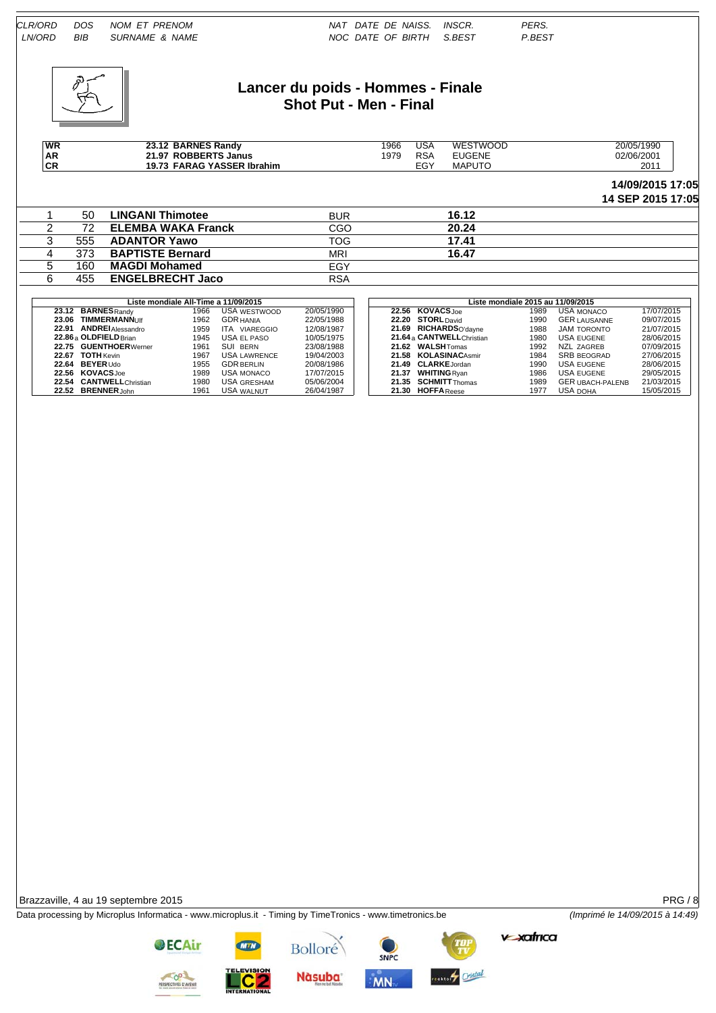

#### **Lancer du poids - Hommes - Finale Shot Put - Men - Final**

| WR       | <b>BARNES Randy</b><br><b>00.40</b><br>۰ . د∠ | 966 | USA               | WESTWOOD      | 20/05/1990 |
|----------|-----------------------------------------------|-----|-------------------|---------------|------------|
| AR<br>CR | 21.97 ROBBERTS<br>∣ Janus                     | 979 | <b>DCA</b><br>/⊂7 | <b>UGENE</b>  | 02/06/2001 |
|          | <b>FARAG YASSER Ibrahim</b><br>19.73          |     | <b>-011</b>       | <b>MAPUTC</b> | 2011       |

#### **14/09/2015 17:05 14 SEP 2015 17:05**

|     |                           |            |       | 17 JEI 2019 11:00 |
|-----|---------------------------|------------|-------|-------------------|
| 50  | <b>LINGANI Thimotee</b>   | <b>BUR</b> | 16.12 |                   |
| 72  | <b>ELEMBA WAKA Franck</b> | CGO        | 20.24 |                   |
| 555 | <b>ADANTOR Yawo</b>       | <b>TOG</b> | 17.41 |                   |
| 373 | <b>BAPTISTE Bernard</b>   | <b>MRI</b> | 16.47 |                   |
| 160 | <b>MAGDI Mohamed</b>      | EGY        |       |                   |
| 455 | <b>ENGELBRECHT Jaco</b>   | <b>RSA</b> |       |                   |

|       |                          | Liste mondiale All-Time a 11/09/2015 |                     |            |  |                            | Liste mondiale 2015 au 11/09/2015 |                         |            |
|-------|--------------------------|--------------------------------------|---------------------|------------|--|----------------------------|-----------------------------------|-------------------------|------------|
|       | 23.12 BARNES Randy       | 1966                                 | USA WESTWOOD        | 20/05/1990 |  | 22.56 KOVACS.Joe           | 1989                              | <b>USA MONACO</b>       | 17/07/2015 |
| 23.06 | <b>TIMMERMANNUIf</b>     | 1962                                 | <b>GDR HANIA</b>    | 22/05/1988 |  | 22.20 STORL David          | 1990                              | <b>GER LAUSANNE</b>     | 09/07/2015 |
|       | 22.91 ANDREI Alessandro  | 1959                                 | ITA<br>VIAREGGIO    | 12/08/1987 |  | 21.69 RICHARDSO'dayne      | 1988                              | JAM TORONTO             | 21/07/2015 |
|       | 22.86 a OLDFIELD Brian   | 1945                                 | USA EL PASO         | 10/05/1975 |  | 21.64 a CANTWELL Christian | 1980                              | USA EUGENE              | 28/06/2015 |
|       | 22.75 GUENTHOER Werner   | 1961                                 | SUI<br><b>BERN</b>  | 23/08/1988 |  | 21.62 WALSHTomas           | 1992                              | NZL ZAGREB              | 07/09/2015 |
|       | 22.67 TOTH Kevin         | 1967                                 | <b>USA LAWRENCE</b> | 19/04/2003 |  | 21.58 KOLASINACAsmir       | 1984                              | <b>SRB BEOGRAD</b>      | 27/06/2015 |
|       | 22.64 BEYER Udo          | 1955                                 | <b>GDR BERLIN</b>   | 20/08/1986 |  | 21.49 CLARKE.Jordan        | 1990                              | USA EUGENE              | 28/06/2015 |
|       | 22.56 KOVACSJoe          | 1989                                 | USA MONACO          | 17/07/2015 |  | 21.37 WHITING Rvan         | 1986                              | <b>USA EUGENE</b>       | 29/05/2015 |
|       | 22.54 CANTWELL Christian | 1980                                 | USA GRESHAM         | 05/06/2004 |  | 21.35 SCHMITTThomas        | 1989                              | <b>GER UBACH-PALENB</b> | 21/03/2015 |
|       | 22.52 BRENNERJohn        | 1961                                 | <b>USA WALNUT</b>   | 26/04/1987 |  | 21.30 HOFFA Reese          | 1977                              | USA DOHA                | 15/05/2015 |

|       | Liste mondiale 2015 au 11/09/2015 |      |                         |            |
|-------|-----------------------------------|------|-------------------------|------------|
| 22.56 | <b>KOVACSJoe</b>                  | 1989 | <b>USA MONACO</b>       | 17/07/2015 |
| 22.20 | <b>STORL</b> David                | 1990 | <b>GER LAUSANNE</b>     | 09/07/2015 |
|       | 21.69 RICHARDSO'davne             | 1988 | <b>JAM TORONTO</b>      | 21/07/2015 |
|       | 21.64 a CANTWELL Christian        | 1980 | <b>USA EUGENE</b>       | 28/06/2015 |
|       | 21.62 WALSHTomas                  | 1992 | NZL ZAGREB              | 07/09/2015 |
|       | 21.58 KOLASINACAsmir              | 1984 | <b>SRB BEOGRAD</b>      | 27/06/2015 |
| 21.49 | <b>CLARKE</b> Jordan              | 1990 | <b>USA EUGENE</b>       | 28/06/2015 |
|       | 21.37 WHITING Ryan                | 1986 | <b>USA EUGENE</b>       | 29/05/2015 |
|       | 21.35 SCHMITT <sub>Thomas</sub>   | 1989 | <b>GER UBACH-PALENB</b> | 21/03/2015 |
|       | 21.30 HOFFA Reese                 | 1977 | <b>USA DOHA</b>         | 15/05/2015 |

Brazzaville, 4 au 19 septembre 2015 PRG / 8

Data processing by Microplus Informatica - www.microplus.it - Timing by TimeTronics - www.timetronics.be *(Imprimé le 14/09/2015 à 14:49)*

**v-xafrica** 



**OECAir** 





SNPC estery Cristal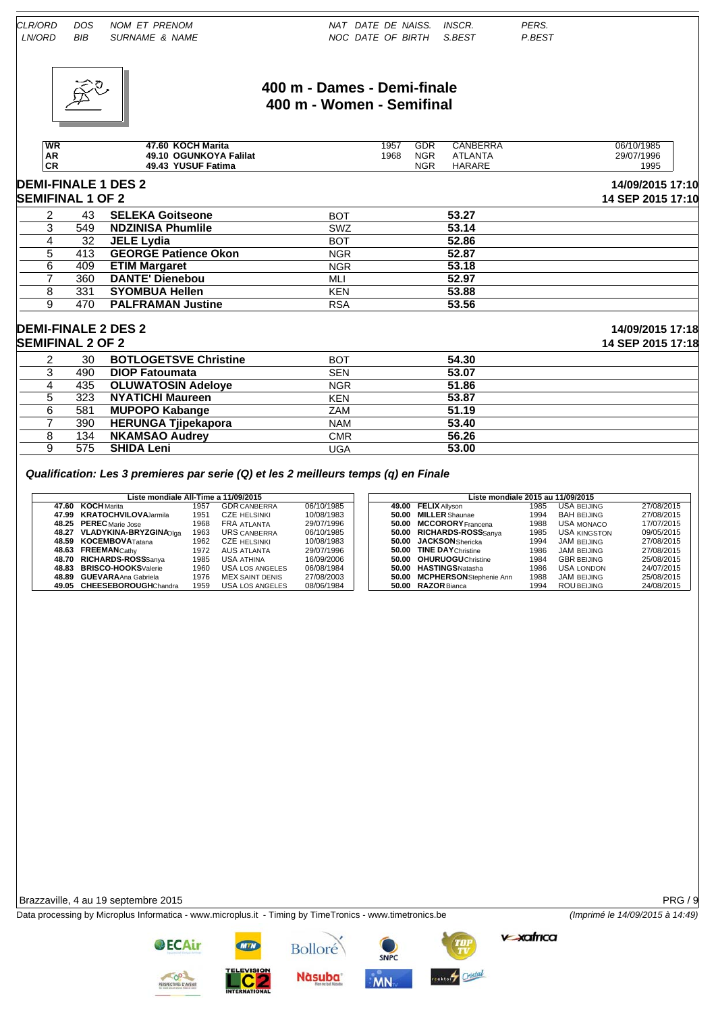

## **400 m - Dames - Demi-finale 400 m - Women - Semifinal**

| <b>WR</b> | KOCH Marita<br>47.60             | 1957 | GDR        | CANBERRA      | 06/10/1985 |
|-----------|----------------------------------|------|------------|---------------|------------|
| AR        | <b>OGUNKOYA Falilat</b><br>49.10 | 1968 | <b>NGR</b> | _ANTA<br>AIL  | 29/07/1996 |
| νn        | <b>YUSUF Fatima</b><br>49.43     |      | <b>NGR</b> | <b>HARARE</b> | 1995       |

# **DEMI-FINALE 1 DES 2 14/09/2015 17:10**

| <b>SEMIFINAL 1 OF 2</b> |     |                             |            |       | 14 SEP 2015 17:10 |
|-------------------------|-----|-----------------------------|------------|-------|-------------------|
|                         | 43  | <b>SELEKA Goitseone</b>     | <b>BOT</b> | 53.27 |                   |
|                         | 549 | <b>NDZINISA Phumlile</b>    | <b>SWZ</b> | 53.14 |                   |
|                         | 32  | <b>JELE Lydia</b>           | <b>BOT</b> | 52.86 |                   |
|                         | 413 | <b>GEORGE Patience Okon</b> | <b>NGR</b> | 52.87 |                   |
|                         | 409 | <b>ETIM Margaret</b>        | <b>NGR</b> | 53.18 |                   |
|                         | 360 | <b>DANTE' Dienebou</b>      | MLI        | 52.97 |                   |
|                         | 331 | <b>SYOMBUA Hellen</b>       | <b>KEN</b> | 53.88 |                   |
| 9                       | 470 | <b>PALFRAMAN Justine</b>    | <b>RSA</b> | 53.56 |                   |

#### **DEMI-FINALE 2 DES 2 14/09/2015 17:18**

| <b>SEMIFINAL 2 OF 2</b> |     |                              |            |       | 14 SEP 2015 17:18 |
|-------------------------|-----|------------------------------|------------|-------|-------------------|
|                         | 30  | <b>BOTLOGETSVE Christine</b> | <b>BOT</b> | 54.30 |                   |
|                         | 490 | <b>DIOP Fatoumata</b>        | SEN        | 53.07 |                   |
|                         | 435 | <b>OLUWATOSIN Adeloye</b>    | <b>NGR</b> | 51.86 |                   |
|                         | 323 | <b>NYATICHI Maureen</b>      | <b>KEN</b> | 53.87 |                   |
|                         | 581 | <b>MUPOPO Kabange</b>        | ZAM        | 51.19 |                   |
|                         | 390 | <b>HERUNGA Tiipekapora</b>   | <b>NAM</b> | 53.40 |                   |
|                         | 134 | <b>NKAMSAO Audrey</b>        | CMR        | 56.26 |                   |
|                         | 575 | <b>SHIDA Leni</b>            | UGA        | 53.00 |                   |

#### *Qualification: Les 3 premieres par serie (Q) et les 2 meilleurs temps (q) en Finale*

|       | Liste mondiale All-Time a 11/09/2015 |      |                     |            |  | Liste mondiale 2015 au 11/09/2015 |                              |      |                     |            |  |  |  |
|-------|--------------------------------------|------|---------------------|------------|--|-----------------------------------|------------------------------|------|---------------------|------------|--|--|--|
|       | 47.60 KOCH Marita                    | 1957 | <b>GDR CANBERRA</b> | 06/10/1985 |  |                                   | 49.00 FELIX Allyson          | 1985 | USA BEIJING         | 27/08/2015 |  |  |  |
| 47.99 | <b>KRATOCHVILOVA</b> Jarmila         | 1951 | <b>CZE HELSINKI</b> | 10/08/1983 |  | 50.00                             | <b>MILLER</b> Shaunae        | 1994 | <b>BAH BEIJING</b>  | 27/08/2015 |  |  |  |
|       | 48.25 PEREC Marie Jose               | 1968 | FRA ATLANTA         | 29/07/1996 |  |                                   | 50.00 MCCORORY Francena      | 1988 | <b>USA MONACO</b>   | 17/07/2015 |  |  |  |
|       | 48.27 VLADYKINA-BRYZGINAOlaa         | 1963 | URS CANBERRA        | 06/10/1985 |  |                                   | 50.00 RICHARDS-ROSSSanva     | 1985 | <b>USA KINGSTON</b> | 09/05/2015 |  |  |  |
|       | 48.59 KOCEMBOVATatana                | 1962 | <b>CZE HELSINKI</b> | 10/08/1983 |  |                                   | 50.00 JACKSON Shericka       | 1994 | JAM BEIJING         | 27/08/2015 |  |  |  |
|       | 48.63 FREEMANCathy                   | 1972 | AUS atlanta         | 29/07/1996 |  |                                   | 50.00 TINE DAY Christine     | 1986 | <b>JAM BEIJING</b>  | 27/08/2015 |  |  |  |
|       | 48.70 RICHARDS-ROSSSanva             | 1985 | <b>USA ATHINA</b>   | 16/09/2006 |  |                                   | 50.00 OHURUOGU Christine     | 1984 | <b>GBR BEIJING</b>  | 25/08/2015 |  |  |  |
|       | 48.83 BRISCO-HOOKSValerie            | 1960 | USA LOS ANGELES     | 06/08/1984 |  |                                   | 50.00 HASTINGSNatasha        | 1986 | <b>USA LONDON</b>   | 24/07/2015 |  |  |  |
|       | 48.89 GUEVARAAna Gabriela            | 1976 | MEX SAINT DENIS     | 27/08/2003 |  |                                   | 50.00 MCPHERSONStephenie Ann | 1988 | <b>JAM BEIJING</b>  | 25/08/2015 |  |  |  |
|       | 49.05 CHEESEBOROUGHChandra           | 1959 | USA LOS ANGELES     | 08/06/1984 |  |                                   | 50.00 RAZOR Bianca           | 1994 | <b>ROU BEIJING</b>  | 24/08/2015 |  |  |  |
|       |                                      |      |                     |            |  |                                   |                              |      |                     |            |  |  |  |

Brazzaville, 4 au 19 septembre 2015 PRG / 9

Data processing by Microplus Informatica - www.microplus.it - Timing by TimeTronics - www.timetronics.be *(Imprimé le 14/09/2015 à 14:49)*

**v-xatrica** 



**OECAir** 

**Bolloré** 

**Nàsuba** 

**MN** 



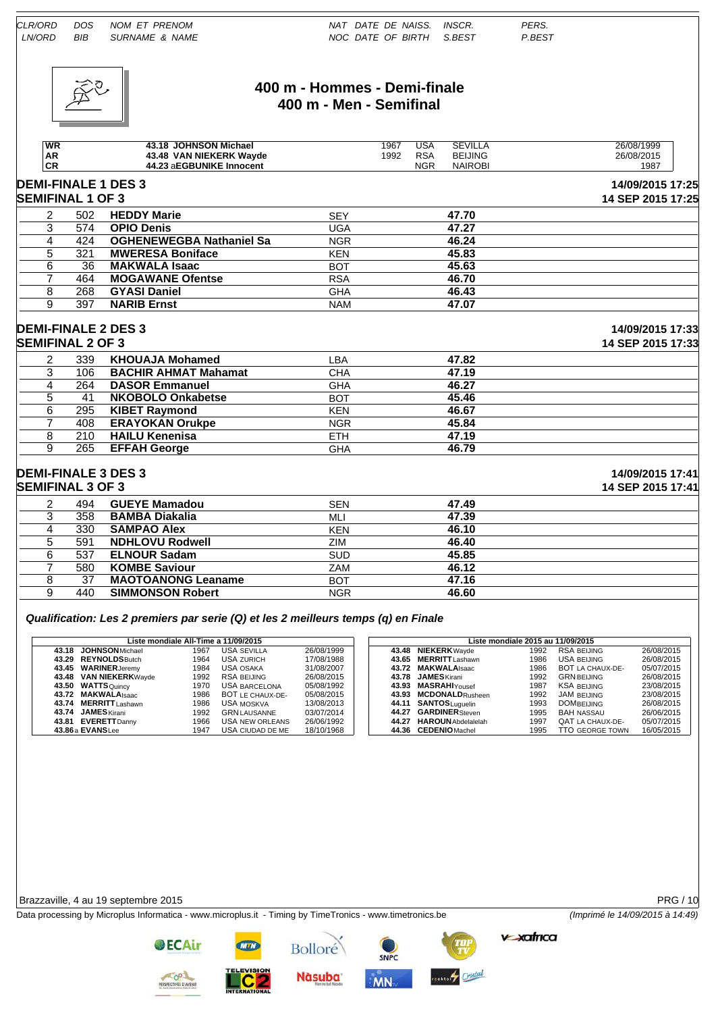

#### **400 m - Hommes - Demi-finale 400 m - Men - Semifinal**

| <b>WR</b>               |     | 43.18 JOHNSON Michael           |            | 1967 | USA        | <b>SEVILLA</b> | 26/08/1999                            |
|-------------------------|-----|---------------------------------|------------|------|------------|----------------|---------------------------------------|
| AR                      |     | 43.48 VAN NIEKERK Wayde         |            | 1992 | <b>RSA</b> | <b>BEIJING</b> | 26/08/2015                            |
| CR                      |     | 44.23 aEGBUNIKE Innocent        |            |      | <b>NGR</b> | <b>NAIROBI</b> | 1987                                  |
| <b>SEMIFINAL 1 OF 3</b> |     | <b>DEMI-FINALE 1 DES 3</b>      |            |      |            |                | 14/09/2015 17:25<br>14 SEP 2015 17:25 |
| 2                       | 502 | <b>HEDDY Marie</b>              | <b>SEY</b> |      |            | 47.70          |                                       |
|                         | 574 | <b>OPIO Denis</b>               | UGA        |      |            | 47.27          |                                       |
|                         | 424 | <b>OGHENEWEGBA Nathaniel Sa</b> | <b>NGR</b> |      |            | 46.24          |                                       |
| 5                       | 321 | <b>MWERESA Boniface</b>         | <b>KEN</b> |      |            | 45.83          |                                       |
| 6                       | 36  | <b>MAKWALA Isaac</b>            | <b>BOT</b> |      |            | 45.63          |                                       |
|                         | 464 | <b>MOGAWANE Ofentse</b>         | RSA        |      |            | 46.70          |                                       |

# **DEMI-FINALE 2 DES 3 14/09/2015 17:33**

|   | <b>SEMIFINAL 2 OF 3</b> |                             |            |       |  |  |  |  |  |
|---|-------------------------|-----------------------------|------------|-------|--|--|--|--|--|
|   | 339                     | <b>KHOUAJA Mohamed</b>      | LBA        | 47.82 |  |  |  |  |  |
|   | 106                     | <b>BACHIR AHMAT Mahamat</b> | CHA        | 47.19 |  |  |  |  |  |
|   | 264                     | <b>DASOR Emmanuel</b>       | <b>GHA</b> | 46.27 |  |  |  |  |  |
|   | 41                      | <b>NKOBOLO Onkabetse</b>    | <b>BOT</b> | 45.46 |  |  |  |  |  |
| 6 | 295                     | <b>KIBET Raymond</b>        | <b>KEN</b> | 46.67 |  |  |  |  |  |
|   | 408                     | <b>ERAYOKAN Orukpe</b>      | <b>NGR</b> | 45.84 |  |  |  |  |  |
|   | 210                     | <b>HAILU Kenenisa</b>       | <b>ETH</b> | 47.19 |  |  |  |  |  |
| 9 | 265                     | <b>EFFAH George</b>         | <b>GHA</b> | 46.79 |  |  |  |  |  |

# **DEMI-FINALE 3 DES 3 14/09/2015 17:41**

|   | <b>SEMIFINAL 3 OF 3</b> |                           |            |       |  |  |  |  |  |
|---|-------------------------|---------------------------|------------|-------|--|--|--|--|--|
|   | 494                     | <b>GUEYE Mamadou</b>      | <b>SEN</b> | 47.49 |  |  |  |  |  |
|   | 358                     | <b>BAMBA Diakalia</b>     | MLI        | 47.39 |  |  |  |  |  |
| 4 | 330                     | <b>SAMPAO Alex</b>        | <b>KEN</b> | 46.10 |  |  |  |  |  |
|   | 591                     | <b>NDHLOVU Rodwell</b>    | ZIM        | 46.40 |  |  |  |  |  |
|   | 537                     | <b>ELNOUR Sadam</b>       | <b>SUD</b> | 45.85 |  |  |  |  |  |
|   | 580                     | <b>KOMBE Saviour</b>      | <b>ZAM</b> | 46.12 |  |  |  |  |  |
|   | 37                      | <b>MAOTOANONG Leaname</b> | <b>BOT</b> | 47.16 |  |  |  |  |  |
|   | 440                     | <b>SIMMONSON Robert</b>   | <b>NGR</b> | 46.60 |  |  |  |  |  |
|   |                         |                           |            |       |  |  |  |  |  |

#### *Qualification: Les 2 premiers par serie (Q) et les 2 meilleurs temps (q) en Finale*

7 464 **MOGAWANE Ofentse** RSA **46.70** 8 268 **GYASI Daniel** GHA **46.43** 9 397 **NARIB Ernst** NAM **47.07**

| Liste mondiale All-Time a 11/09/2015 |      |                      |            |  |                          | Liste mondiale 2015 au 11/09/2015 |                        |            |
|--------------------------------------|------|----------------------|------------|--|--------------------------|-----------------------------------|------------------------|------------|
| 43.18 JOHNSON Michael                | 1967 | <b>USA SEVILLA</b>   | 26/08/1999 |  | 43.48 NIEKERK Wayde      | 1992                              | <b>RSA BEIJING</b>     | 26/08/2015 |
| 43.29 REYNOLDSButch                  | 1964 | <b>USA ZURICH</b>    | 17/08/1988 |  | 43.65 MERRITTLashawn     | 1986                              | USA BEIJING            | 26/08/2015 |
| 43.45 WARINER Jeremy                 | 1984 | USA OSAKA            | 31/08/2007 |  | 43.72 MAKWALAIsaac       | 1986                              | BOT LA CHAUX-DE-       | 05/07/2015 |
| 43.48 VAN NIEKERKWayde               | 1992 | RSA BEIJING          | 26/08/2015 |  | 43.78 JAMES Kirani       | 1992                              | <b>GRN BEIJING</b>     | 26/08/2015 |
| 43.50 WATTSQuincy                    | 1970 | <b>USA BARCELONA</b> | 05/08/1992 |  | 43.93 MASRAHIYousef      | 1987                              | <b>KSA BEIJING</b>     | 23/08/2015 |
| 43.72 MAKWALA Isaac                  | 1986 | BOT LE CHAUX-DE-     | 05/08/2015 |  | 43.93 MCDONALDRusheen    | 1992                              | <b>JAM BEIJING</b>     | 23/08/2015 |
| 43.74 MERRITT Lashawn                | 1986 | USA MOSKVA           | 13/08/2013 |  | 44.11 SANTOSLuquelin     | 1993                              | <b>DOMBELJING</b>      | 26/08/2015 |
| 43.74 JAMES Kirani                   | 1992 | <b>GRN LAUSANNE</b>  | 03/07/2014 |  | 44.27 GARDINER Steven    | 1995                              | <b>BAH NASSAU</b>      | 26/06/2015 |
| 43.81 EVERETT Danny                  | 1966 | USA NEW ORLEANS      | 26/06/1992 |  | 44.27 HAROUN Abdelalelah | 1997                              | QAT LA CHAUX-DE-       | 05/07/2015 |
| 43.86 a EVANSLee                     | 1947 | USA CIUDAD DE ME     | 18/10/1968 |  | 44.36 CEDENIO Machel     | 1995                              | <b>TTO GEORGE TOWN</b> | 16/05/2015 |

#### Brazzaville, 4 au 19 septembre 2015 PRG / 10

Data processing by Microplus Informatica - www.microplus.it - Timing by TimeTronics - www.timetronics.be *(Imprimé le 14/09/2015 à 14:49)*

**v xafrica** 

**ECTIVES D'AVE** 

**OECAir** 

**Nàsuba** 

**Bolloré** 

SNPC **MN** 



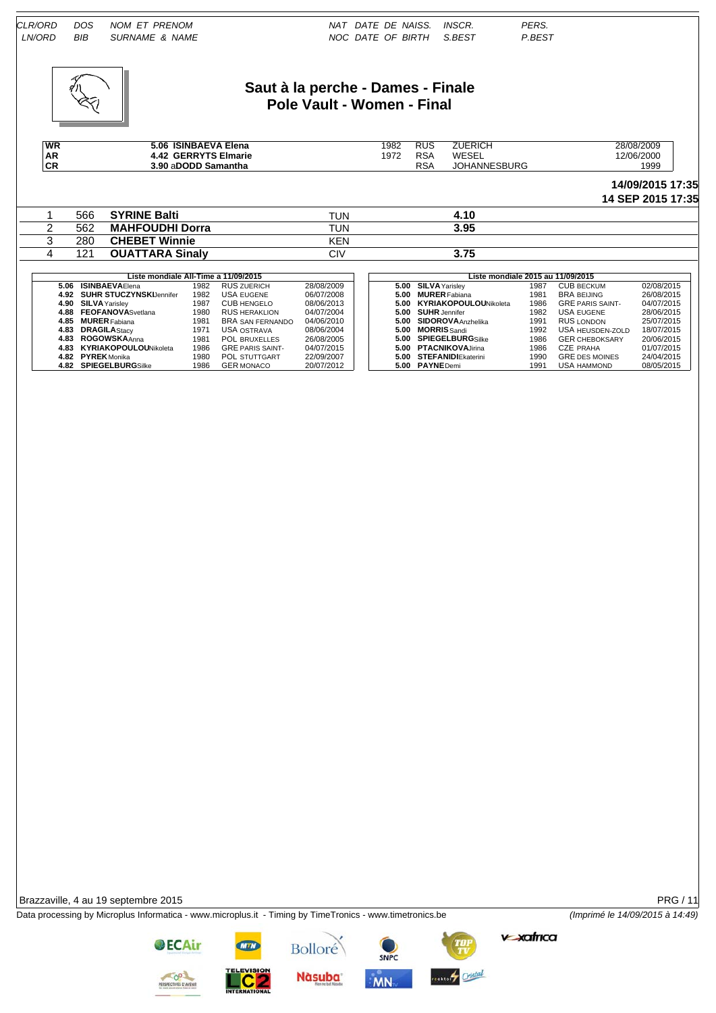

#### **Saut à la perche - Dames - Finale Pole Vault - Women - Final**

| <b>WR</b> | <b>ISINBAEVA Elena</b><br>5.06    | 1982 | <b>RUS</b> | ZUERICH           | 28/08/2009 |
|-----------|-----------------------------------|------|------------|-------------------|------------|
| AR<br>CR  | Elmarie<br><b>GERRYTS</b><br>4.42 | 972  | <b>RSA</b> | WESEL             | 12/06/2000 |
|           | 3.90 aDODD Samantha               |      | RS/        | SBURG<br>'OHANNE. | 1999       |

#### **14/09/2015 17:35 14 SEP 2015 17:35**

| 566 | <b>SYRINE Balti</b>    | TUN        | +.10 |  |
|-----|------------------------|------------|------|--|
| 562 | <b>MAHFOUDHI Dorra</b> | TUN        | 3.95 |  |
| 280 | <b>CHEBET Winnie</b>   | <b>KEN</b> |      |  |
| 121 | <b>OUATTARA Sinaly</b> | CIV        | 3.75 |  |
|     |                        |            |      |  |

| Liste mondiale All-Time a 11/09/2015 |                              |      |                         |            |  | Liste mondiale 2015 au 11/09/2015 |                            |      |                         |            |  |  |
|--------------------------------------|------------------------------|------|-------------------------|------------|--|-----------------------------------|----------------------------|------|-------------------------|------------|--|--|
| 5.06                                 | <b>ISINBAEVAElena</b>        | 1982 | <b>RUS ZUERICH</b>      | 28/08/2009 |  |                                   | 5.00 SILVA Yarislev        | 1987 | <b>CUB BECKUM</b>       | 02/08/2015 |  |  |
|                                      | 4.92 SUHR STUCZYNSKIJennifer | 1982 | USA EUGENE              | 06/07/2008 |  |                                   | 5.00 MURER Fabiana         | 1981 | <b>BRA BEIJING</b>      | 26/08/2015 |  |  |
|                                      | 4.90 SILVA Yarislev          | 1987 | <b>CUB HENGELO</b>      | 08/06/2013 |  |                                   | 5.00 KYRIAKOPOULOUNikoleta | 1986 | <b>GRE PARIS SAINT-</b> | 04/07/2015 |  |  |
|                                      | 4.88 FEOFANOVASvetlana       | 1980 | <b>RUS HERAKLION</b>    | 04/07/2004 |  |                                   | 5.00 SUHR Jennifer         | 1982 | USA EUGENE              | 28/06/2015 |  |  |
|                                      | 4.85 MURER Fabiana           | 1981 | <b>BRA SAN FERNANDO</b> | 04/06/2010 |  |                                   | 5.00 SIDOROVA Anzhelika    | 1991 | RUS LONDON              | 25/07/2015 |  |  |
|                                      | 4.83 DRAGILAStacy            | 1971 | USA OSTRAVA             | 08/06/2004 |  | 5.00                              | <b>MORRIS</b> Sandi        | 1992 | <b>USA HEUSDEN-ZOLD</b> | 18/07/2015 |  |  |
|                                      | 4.83 ROGOWSKAAnna            | 1981 | <b>POL BRUXELLES</b>    | 26/08/2005 |  |                                   | 5.00 SPIEGELBURGSilke      | 1986 | <b>GER CHEBOKSARY</b>   | 20/06/2015 |  |  |
|                                      | 4.83 KYRIAKOPOULOUNikoleta   | 1986 | <b>GRE PARIS SAINT-</b> | 04/07/2015 |  |                                   | 5.00 PTACNIKOVA Jirina     | 1986 | CZE PRAHA               | 01/07/2015 |  |  |
|                                      | 4.82 PYREK Monika            | 1980 | POL STUTTGART           | 22/09/2007 |  |                                   | 5.00 STEFANIDIEkaterini    | 1990 | <b>GRE DES MOINES</b>   | 24/04/2015 |  |  |
|                                      | 4.82 SPIEGELBURGSilke        | 1986 | <b>GER MONACO</b>       | 20/07/2012 |  |                                   | 5.00 PAYNE Demi            | 1991 | <b>USA HAMMOND</b>      | 08/05/2015 |  |  |

| Liste mondiale All-Time a 11/09/2015 |      |                         |            |  |  | Liste mondiale 2015 au 11/09/2015 |                            |      |                         |            |  |
|--------------------------------------|------|-------------------------|------------|--|--|-----------------------------------|----------------------------|------|-------------------------|------------|--|
| 5.06 ISINBAEVAElena                  | 1982 | <b>RUS ZUERICH</b>      | 28/08/2009 |  |  |                                   | 5.00 SILVA Yarislev        | 1987 | <b>CUB BECKUM</b>       | 02/08/2015 |  |
| 4.92 SUHR STUCZYNSKIJennifer         | 1982 | USA EUGENE              | 06/07/2008 |  |  | 5.00                              | <b>MURER</b> Fabiana       | 1981 | <b>BRA BEIJING</b>      | 26/08/2015 |  |
| 4.90 SILVA Yarislev                  | 1987 | <b>CUB HENGELO</b>      | 08/06/2013 |  |  |                                   | 5.00 KYRIAKOPOULOUNikoleta | 1986 | <b>GRE PARIS SAINT-</b> | 04/07/2015 |  |
| 4.88 FEOFANOVASvetlana               | 1980 | <b>RUS HERAKLION</b>    | 04/07/2004 |  |  |                                   | 5.00 SUHR Jennifer         | 1982 | <b>USA EUGENE</b>       | 28/06/2015 |  |
| 4.85 MURER Fabiana                   | 1981 | BRA SAN FERNANDO        | 04/06/2010 |  |  |                                   | 5.00 SIDOROVA Anzhelika    | 1991 | RUS LONDON              | 25/07/2015 |  |
| 4.83 DRAGILAStacy                    | 1971 | USA OSTRAVA             | 08/06/2004 |  |  | 5.00                              | <b>MORRIS</b> Sandi        | 1992 | <b>USA HEUSDEN-ZOLD</b> | 18/07/2015 |  |
| 4.83 ROGOWSKAAnna                    | 1981 | <b>POL BRUXELLES</b>    | 26/08/2005 |  |  |                                   | 5.00 SPIEGELBURGSilke      | 1986 | <b>GER CHEBOKSARY</b>   | 20/06/2015 |  |
| 4.83 KYRIAKOPOULOUNikoleta           | 1986 | <b>GRE PARIS SAINT-</b> | 04/07/2015 |  |  |                                   | 5.00 PTACNIKOVA Jirina     | 1986 | CZE PRAHA               | 01/07/2015 |  |
| 4.82 PYREK Monika                    | 1980 | POL STUTTGART           | 22/09/2007 |  |  |                                   | 5.00 STEFANIDIEkaterini    | 1990 | <b>GRE DES MOINES</b>   | 24/04/2015 |  |
| 4.82 SPIEGELBURGSilke                | 1986 | <b>GER MONACO</b>       | 20/07/2012 |  |  |                                   | 5.00 PAYNE Demi            | 1991 | <b>USA HAMMOND</b>      | 08/05/2015 |  |

Brazzaville, 4 au 19 septembre 2015 **PRG / 11** 

Data processing by Microplus Informatica - www.microplus.it - Timing by TimeTronics - www.timetronics.be *(Imprimé le 14/09/2015 à 14:49)*

**v-xafrica** 

**OECAir** 

**Nàsuba** 

Bolloré



**MN** 

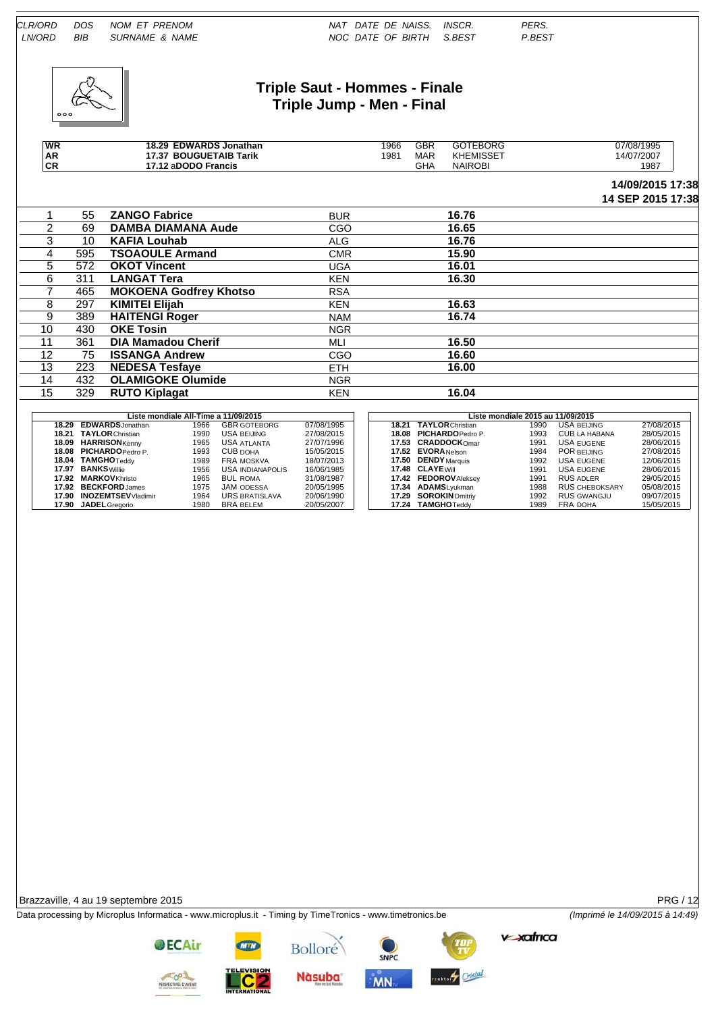

#### **Triple Saut - Hommes - Finale Triple Jump - Men - Final**

| <b>WR</b>     |     | 18.29 EDWARDS Jonathan        |            | 1966 | <b>GBR</b> | <b>GOTEBORG</b>  | 07/08/1995        |
|---------------|-----|-------------------------------|------------|------|------------|------------------|-------------------|
| AR            |     | 17.37 BOUGUETAIB Tarik        |            | 1981 | <b>MAR</b> | <b>KHEMISSET</b> | 14/07/2007        |
| <b>CR</b>     |     | 17.12 aDODO Francis           |            |      | <b>GHA</b> | <b>NAIROBI</b>   | 1987              |
|               |     |                               |            |      |            |                  | 14/09/2015 17:38  |
|               |     |                               |            |      |            |                  | 14 SEP 2015 17:38 |
|               | 55  | <b>ZANGO Fabrice</b>          | <b>BUR</b> |      |            | 16.76            |                   |
| $\mathcal{P}$ | 69  | <b>DAMBA DIAMANA Aude</b>     | CGO        |      |            | 16.65            |                   |
| 3             | 10  | <b>KAFIA Louhab</b>           | <b>ALG</b> |      |            | 16.76            |                   |
| 4             | 595 | <b>TSOAOULE Armand</b>        | <b>CMR</b> |      |            | 15.90            |                   |
| 5             | 572 | <b>OKOT Vincent</b>           | <b>UGA</b> |      |            | 16.01            |                   |
| 6             | 311 | <b>LANGAT Tera</b>            | <b>KEN</b> |      |            | 16.30            |                   |
|               | 465 | <b>MOKOENA Godfrey Khotso</b> | <b>RSA</b> |      |            |                  |                   |
| 8             | 297 | <b>KIMITEI Elijah</b>         | <b>KEN</b> |      |            | 16.63            |                   |
| 9             | 389 | <b>HAITENGI Roger</b>         | <b>NAM</b> |      |            | 16.74            |                   |
| 10            | 430 | <b>OKE Tosin</b>              | <b>NGR</b> |      |            |                  |                   |
| 11            | 361 | <b>DIA Mamadou Cherif</b>     | MLI        |      |            | 16.50            |                   |
| 12            | 75  | <b>ISSANGA Andrew</b>         | CGO        |      |            | 16.60            |                   |

| Liste mondiale All-Time a 11/09/2015 |      |                       |            |  | Liste mondiale 2015 au 11/09/2015 |                               |      |                       |            |  |  |  |
|--------------------------------------|------|-----------------------|------------|--|-----------------------------------|-------------------------------|------|-----------------------|------------|--|--|--|
| 18.29 EDWARDS Jonathan               | 1966 | <b>GBR GOTEBORG</b>   | 07/08/1995 |  |                                   | <b>18.21 TAYLOR Christian</b> | 1990 | <b>USA BEIJING</b>    | 27/08/2015 |  |  |  |
| 18.21 TAYLOR Christian               | 1990 | USA BEIJING           | 27/08/2015 |  |                                   | 18.08 PICHARDOPedro P.        | 1993 | CUB LA HABANA         | 28/05/2015 |  |  |  |
| 18.09 HARRISON Kenny                 | 1965 | USA ATLANTA           | 27/07/1996 |  |                                   | 17.53 CRADDOCKOmar            | 1991 | USA EUGENE            | 28/06/2015 |  |  |  |
| 18.08 PICHARDO Pedro P.              | 1993 | CUB DOHA              | 15/05/2015 |  |                                   | 17.52 EVORA Nelson            | 1984 | POR BEIJING           | 27/08/2015 |  |  |  |
| 18.04 TAMGHOTeddy                    | 1989 | FRA MOSKVA            | 18/07/2013 |  |                                   | 17.50 DENDY Marquis           | 1992 | USA EUGENE            | 12/06/2015 |  |  |  |
| 17.97 BANKS Willie                   | 1956 | USA INDIANAPOLIS      | 16/06/1985 |  |                                   | 17.48 CLAYE Will              | 1991 | USA EUGENE            | 28/06/2015 |  |  |  |
| 17.92 MARKOVKhristo                  | 1965 | <b>BUL ROMA</b>       | 31/08/1987 |  |                                   | 17.42 FEDOROV Aleksey         | 1991 | <b>RUS ADLER</b>      | 29/05/2015 |  |  |  |
| 17.92 BECKFORDJames                  | 1975 | <b>JAM ODESSA</b>     | 20/05/1995 |  |                                   | 17.34 ADAMSLvukman            | 1988 | <b>RUS CHEBOKSARY</b> | 05/08/2015 |  |  |  |
| 17.90 INOZEMTSEVVladimir             | 1964 | <b>URS BRATISLAVA</b> | 20/06/1990 |  |                                   | 17.29 SOROKIN Dmitriy         | 1992 | <b>RUS GWANGJU</b>    | 09/07/2015 |  |  |  |
| 17.90 JADEL Gregorio                 | 1980 | BRA BELEM             | 20/05/2007 |  |                                   | 17.24 TAMGHOTeddy             | 1989 | <b>FRA DOHA</b>       | 15/05/2015 |  |  |  |

13 223 **NEDESA Tesfaye** ETH **16.00**

15 329 **RUTO Kiplagat** KEN **16.04**

14 432 **OLAMIGOKE Olumide** NGR<br>15 329 **RUTO Kiplagat** KEN

Brazzaville, 4 au 19 septembre 2015 PRG / 12

Data processing by Microplus Informatica - www.microplus.it - Timing by TimeTronics - www.timetronics.be *(Imprimé le 14/09/2015 à 14:49)*



**Bolloré Nàsuba**  SNPC

MN



**v-xatrica**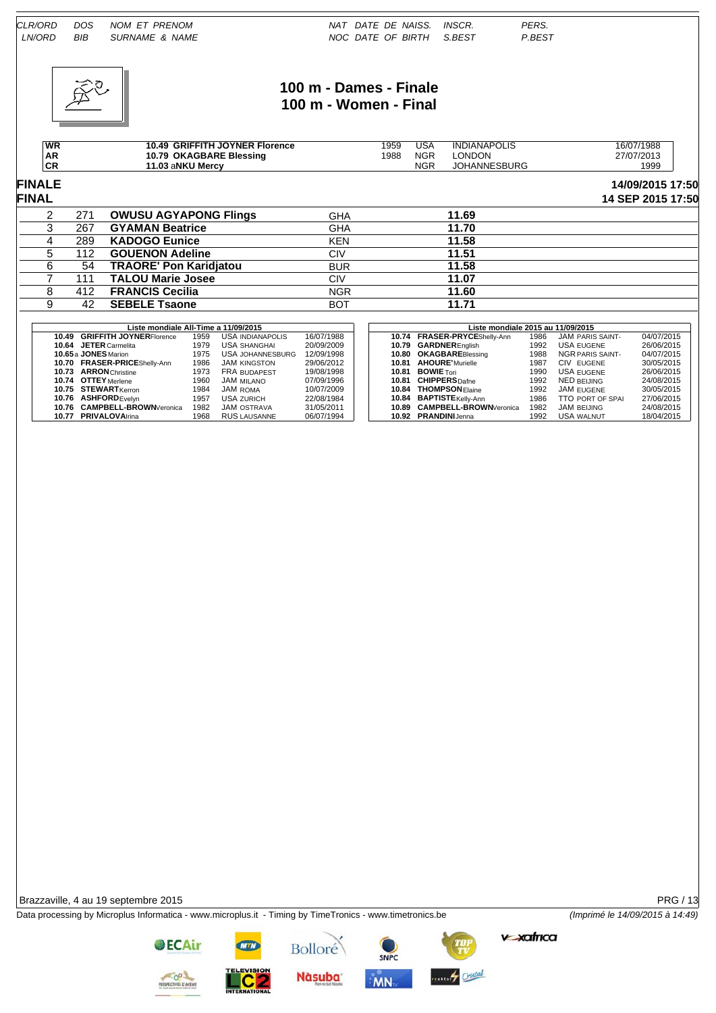

## **100 m - Dames - Finale 100 m - Women - Final**

| WR       | <b>GRIFFITH JOYNER Florence</b><br>10.49 | 1959 | JSA        | <b>INDIANAPOLIS</b> | 16/07/1988 |
|----------|------------------------------------------|------|------------|---------------------|------------|
| AR       | 10.79 OKAGBARE Blessing                  | 1988 | <b>NGR</b> | <b>LONDON</b>       | 27/07/2013 |
| cЕ<br>vΓ | 11.03 aNKU Mercy                         |      | <b>NGR</b> | <b>JOHANNESBURG</b> | 1999       |

#### **FINALE 14/09/2015 17:50 FINAL 14 SEP 2015 17:50**

| ------- |     |                               |            |       | . |
|---------|-----|-------------------------------|------------|-------|---|
|         | 271 | <b>OWUSU AGYAPONG Flings</b>  | <b>GHA</b> | 11.69 |   |
|         | 267 | <b>GYAMAN Beatrice</b>        | <b>GHA</b> | 11.70 |   |
|         | 289 | <b>KADOGO Eunice</b>          | <b>KEN</b> | 11.58 |   |
|         | 112 | <b>GOUENON Adeline</b>        | CIV        | 11.51 |   |
|         | 54  | <b>TRAORE' Pon Karidjatou</b> | <b>BUR</b> | 11.58 |   |
|         |     | <b>TALOU Marie Josee</b>      | CIV        | 11.07 |   |
|         | 412 | <b>FRANCIS Cecilia</b>        | <b>NGR</b> | 11.60 |   |
|         | 42  | <b>SEBELE Tsaone</b>          | <b>BOT</b> | 11.71 |   |

| Liste mondiale All-Time a 11/09/2015 |      |                     |            | Liste mondiale 2015 au 11/09/2015 |                               |      |                         |            |  |  |  |
|--------------------------------------|------|---------------------|------------|-----------------------------------|-------------------------------|------|-------------------------|------------|--|--|--|
| 10.49 GRIFFITH JOYNERFlorence        | 1959 | USA INDIANAPOLIS    | 16/07/1988 |                                   | 10.74 FRASER-PRYCEShelly-Ann  | 1986 | JAM PARIS SAINT-        | 04/07/2015 |  |  |  |
| <b>JETER</b> Carmelita<br>10.64      | 1979 | <b>USA SHANGHAI</b> | 20/09/2009 |                                   | 10.79 GARDNEREnglish          | 1992 | <b>USA EUGENE</b>       | 26/06/2015 |  |  |  |
| 10.65 a JONES Marion                 | 1975 | USA JOHANNESBURG    | 12/09/1998 |                                   | 10.80 OKAGBAREBlessing        | 1988 | NGR PARIS SAINT-        | 04/07/2015 |  |  |  |
| 10.70 FRASER-PRICEShelly-Ann         | 1986 | <b>JAM KINGSTON</b> | 29/06/2012 | 10.81                             | <b>AHOURE'</b> Murielle       | 1987 | CIV EUGENE              | 30/05/2015 |  |  |  |
| <b>ARRON</b> Christine<br>10.73      | 1973 | <b>FRA BUDAPEST</b> | 19/08/1998 | 10.81                             | <b>BOWIE</b> Tori             | 1990 | USA EUGENE              | 26/06/2015 |  |  |  |
| 10.74 OTTEY Merlene                  | 1960 | JAM milano          | 07/09/1996 | 10.81                             | <b>CHIPPERS</b> Dafne         | 1992 | <b>NED BEIJING</b>      | 24/08/2015 |  |  |  |
| 10.75 STEWARTKerron                  | 1984 | JAM ROMA            | 10/07/2009 |                                   | 10.84 THOMPSONElaine          | 1992 | JAM EUGENE              | 30/05/2015 |  |  |  |
| 10.76 ASHFORD Evelyn                 | 1957 | <b>USA ZURICH</b>   | 22/08/1984 |                                   | 10.84 BAPTISTEKelly-Ann       | 1986 | <b>TTO PORT OF SPAL</b> | 27/06/2015 |  |  |  |
| 10.76 CAMPBELL-BROWN Veronica        | 1982 | <b>JAM OSTRAVA</b>  | 31/05/2011 |                                   | 10.89 CAMPBELL-BROWN Veronica | 1982 | JAM BEIJING             | 24/08/2015 |  |  |  |
| 10.77 PRIVALOVAlrina                 | 1968 | <b>RUS LAUSANNE</b> | 06/07/1994 |                                   | 10.92 PRANDINIJenna           | 1992 | USA WALNUT              | 18/04/2015 |  |  |  |

Brazzaville, 4 au 19 septembre 2015 PRG / 13

Data processing by Microplus Informatica - www.microplus.it - Timing by TimeTronics - www.timetronics.be *(Imprimé le 14/09/2015 à 14:49)*

**v-xafrica** 



**OECAir** 



Bolloré

**Nàsuba** 



**MN** 

ester<sup>4</sup> Cristal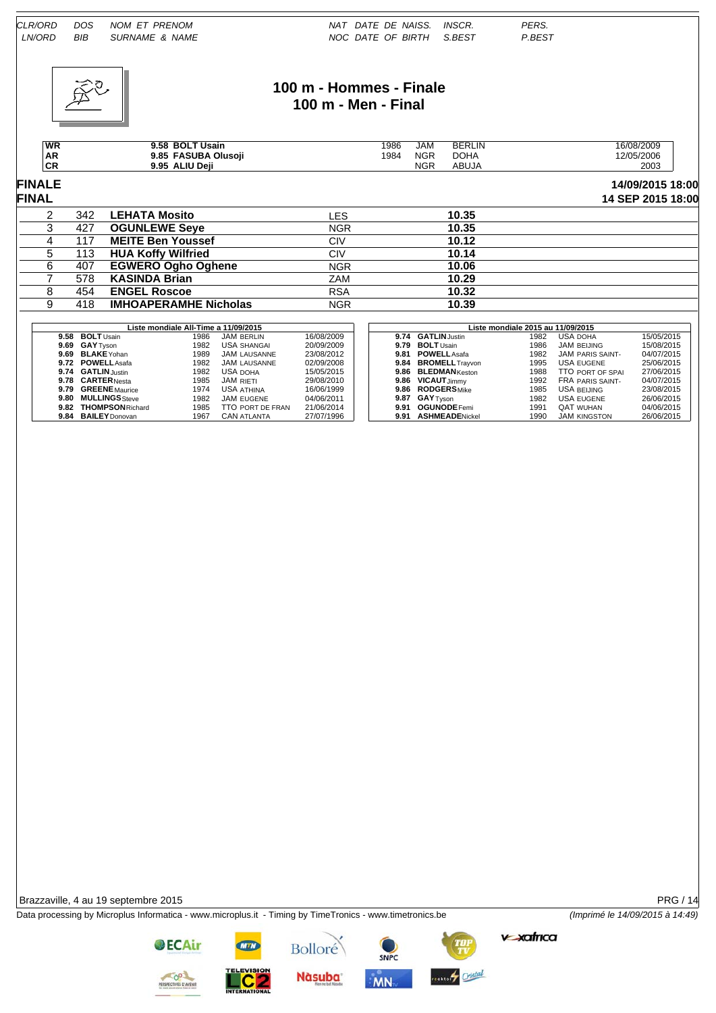

## **100 m - Hommes - Finale 100 m - Men - Final**

| WR              | <b>BOLT Usain</b><br>9.58        | 1986 | JAM        | <b>BERLIN</b> | 16/08/2009 |
|-----------------|----------------------------------|------|------------|---------------|------------|
| <b>AR</b>       | <b>FASUBA</b><br>Olusoii<br>9.85 | 1984 | <b>NGR</b> | <b>DOHA</b>   | 12/05/2006 |
| <b>CD</b><br>vΓ | <b>ALIU Deii</b><br>9.95         |      | <b>NGF</b> | ABUJA         | 2003       |

# **FINALE 14/09/2015 18:00**

| 14 SEP 2015 18:00 |  |  |  |  |
|-------------------|--|--|--|--|

| <b>FINAL</b> |      |                              |            |       | 14 SEP 2015 18:00 |
|--------------|------|------------------------------|------------|-------|-------------------|
|              | 342  | <b>LEHATA Mosito</b>         | ∟ES        | 10.35 |                   |
|              | 427  | <b>OGUNLEWE Seye</b>         | <b>NGR</b> | 10.35 |                   |
|              | 117  | <b>MEITE Ben Youssef</b>     | CIV        | 10.12 |                   |
|              | 113. | <b>HUA Koffy Wilfried</b>    | CIV        | 10.14 |                   |
|              | 407  | <b>EGWERO Ogho Oghene</b>    | <b>NGR</b> | 10.06 |                   |
|              | 578  | <b>KASINDA Brian</b>         | ZAM        | 10.29 |                   |
|              | 454  | <b>ENGEL Roscoe</b>          | <b>RSA</b> | 10.32 |                   |
|              | 418  | <b>IMHOAPERAMHE Nicholas</b> | <b>NGR</b> | 10.39 |                   |

|      |                         | Liste mondiale All-Time a 11/09/2015 |                                |            | Liste mondiale 2015 au 11/09/2015 |                        |      |                     |            |  |  |
|------|-------------------------|--------------------------------------|--------------------------------|------------|-----------------------------------|------------------------|------|---------------------|------------|--|--|
|      | 9.58 BOLT Usain         | 1986                                 | <b>JAM BERLIN</b>              | 16/08/2009 |                                   | 9.74 GATLIN Justin     | 1982 | <b>USA DOHA</b>     | 15/05/2015 |  |  |
|      | 9.69 GAY Tyson          | 1982                                 | <b>USA SHANGAL</b>             | 20/09/2009 | 9.79                              | <b>BOLT</b> Usain      | 1986 | <b>JAM BEIJING</b>  | 15/08/2015 |  |  |
| 9.69 | <b>BLAKE</b> Yohan      | 1989                                 | JAM LAUSANNE                   | 23/08/2012 | 9.81                              | <b>POWELL</b> Asafa    | 1982 | JAM PARIS SAINT-    | 04/07/2015 |  |  |
|      | 9.72 POWELL Asafa       | 1982                                 | JAM LAUSANNE                   | 02/09/2008 | 9.84                              | <b>BROMELL</b> Trayvon | 1995 | USA EUGENE          | 25/06/2015 |  |  |
|      | 9.74 GATLIN Justin      | 1982                                 | <b>USA DOHA</b>                | 15/05/2015 | 9.86                              | <b>BLEDMAN</b> Keston  | 1988 | TTO PORT OF SPAL    | 27/06/2015 |  |  |
|      | 9.78 CARTER Nesta       | 1985                                 | <b>JAM RIETI</b>               | 29/08/2010 | 9.86                              | <b>VICAUT</b> Jimmy    | 1992 | FRA PARIS SAINT-    | 04/07/2015 |  |  |
| 9.79 | <b>GREENE</b> Maurice   | 1974                                 | <b>USA ATHINA</b>              | 16/06/1999 |                                   | 9.86 RODGERSMike       | 1985 | <b>USA BEIJING</b>  | 23/08/2015 |  |  |
| 9.80 | <b>MULLINGS</b> Steve   | 1982                                 | JAM EUGENE                     | 04/06/2011 |                                   | 9.87 GAY Tyson         | 1982 | USA EUGENE          | 26/06/2015 |  |  |
| 9.82 | <b>THOMPSON Richard</b> | 1985                                 | <b><i>FTO PORT DE FRAN</i></b> | 21/06/2014 | 9.91                              | <b>OGUNODE</b> Femi    | 1991 | <b>QAT WUHAN</b>    | 04/06/2015 |  |  |
| 9.84 | <b>BAILEY</b> Donovan   | 1967                                 | <b>CAN ATLANTA</b>             | 27/07/1996 | 9.91                              | <b>ASHMEADENickel</b>  | 1990 | <b>JAM KINGSTON</b> | 26/06/2015 |  |  |

Brazzaville, 4 au 19 septembre 2015 PRG / 14

Data processing by Microplus Informatica - www.microplus.it - Timing by TimeTronics - www.timetronics.be *(Imprimé le 14/09/2015 à 14:49)*

**v-xafrica** 

**OECAir** 



Bolloré

**Nàsuba** 



**MN** 

ester<sup>4</sup> Cristal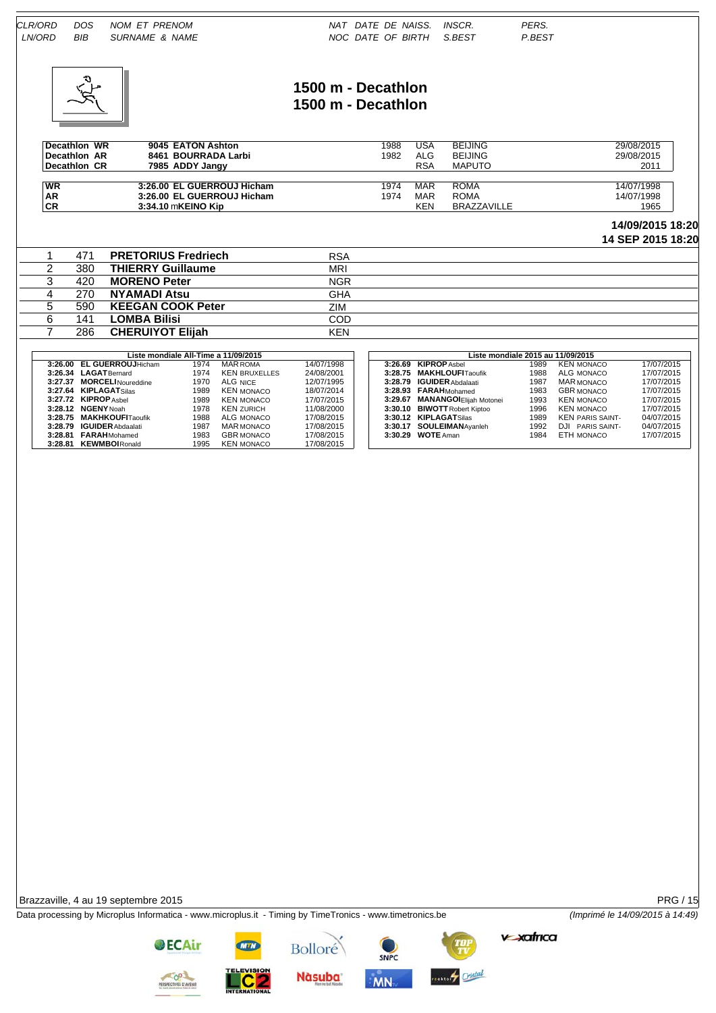

### **1500 m - Decathlon 1500 m - Decathlon**

| Decathlon WR | 9045 EATON Ashton          | 1988 | USA | <b>BEIJING</b>     | 29/08/2015 |
|--------------|----------------------------|------|-----|--------------------|------------|
| Decathlon AR | 8461 BOURRADA Larbi        | 1982 | ALG | <b>BEIJING</b>     | 29/08/2015 |
| Decathlon CR | 7985 ADDY Jangy            |      | RSA | <b>MAPUTO</b>      | 2011       |
|              |                            |      |     |                    |            |
| <b>WR</b>    | 3:26.00 EL GUERROUJ Hicham | 1974 | MAR | ROMA               | 14/07/1998 |
| <b>AR</b>    | 3:26.00 EL GUERROUJ Hicham | 1974 | MAR | ROMA               | 14/07/1998 |
| <b>CR</b>    | 3:34.10 mKEINO Kip         |      | KEN | <b>BRAZZAVILLE</b> | 1965       |

#### **14/09/2015 18:20**

**14 SEP 2015 18:20**

|  | 471  | <b>PRETORIUS Fredriech</b>           | <b>RSA</b> |                                   |
|--|------|--------------------------------------|------------|-----------------------------------|
|  | 380  | <b>THIERRY Guillaume</b>             | <b>MRI</b> |                                   |
|  | 420  | <b>MORENO Peter</b>                  | <b>NGR</b> |                                   |
|  | 270. | NYAMADI Atsu                         | <b>GHA</b> |                                   |
|  | 590  | <b>KEEGAN COOK Peter</b>             | ZIM        |                                   |
|  | 141  | <b>LOMBA Bilisi</b>                  | COD        |                                   |
|  | 286  | <b>CHERUIYOT Elijah</b>              | <b>KEN</b> |                                   |
|  |      |                                      |            |                                   |
|  |      | Liste mondiale All-Time a 11/09/2015 |            | Liste mondiale 2015 au 11/09/2015 |

|         |                            | Liste mondiale All-Time a 11/09/2015 |                      |            |
|---------|----------------------------|--------------------------------------|----------------------|------------|
| 3:26.00 | <b>EL GUERROUJHicham</b>   | 1974                                 | <b>MAR ROMA</b>      | 14/07/1998 |
|         | 3:26.34 LAGATBernard       | 1974                                 | <b>KEN BRUXELLES</b> | 24/08/2001 |
|         | 3:27.37 MORCELI Noureddine | 1970                                 | ALG NICE             | 12/07/1995 |
|         | 3:27.64 KIPLAGATSilas      | 1989                                 | <b>KEN MONACO</b>    | 18/07/2014 |
|         | 3:27.72 KIPROP Ashel       | 1989                                 | <b>KEN MONACO</b>    | 17/07/2015 |
|         | 3:28.12 NGENY Noah         | 1978                                 | <b>KEN ZURICH</b>    | 11/08/2000 |
|         | 3:28.75 MAKHKOUFITaoufik   | 1988                                 | ALG MONACO           | 17/08/2015 |
|         | 3:28.79 IGUIDER Abdaalati  | 1987                                 | <b>MAR MONACO</b>    | 17/08/2015 |
|         | 3:28.81 FARAHMohamed       | 1983                                 | <b>GBR MONACO</b>    | 17/08/2015 |
|         | 3:28.81 KEWMBOIRonald      | 1995                                 | <b>KEN MONACO</b>    | 17/08/2015 |
|         |                            |                                      |                      |            |

|                                 |      | Liste mondiale All-Time a 11/09/2015 |            | Liste mondiale 2015 au 11/09/2015 |                                 |      |                         |  |  |
|---------------------------------|------|--------------------------------------|------------|-----------------------------------|---------------------------------|------|-------------------------|--|--|
| 3:26.00 EL GUERROUJHicham       | 1974 | <b>MAR ROMA</b>                      | 14/07/1998 |                                   | 3:26.69 KIPROP Ashel            | 1989 | <b>KEN MONACO</b>       |  |  |
| $3:26.34$ $LAGAT\text{Bernard}$ | 1974 | <b>KEN BRUXELLES</b>                 | 24/08/2001 |                                   | 3:28.75 MAKHLOUFITaoufik        | 1988 | ALG MONACO              |  |  |
| 3:27.37 MORCELI Noureddine      | 1970 | ALG NICE                             | 12/07/1995 |                                   | 3:28.79 IGUIDER Abdalaati       | 1987 | MAR MONACO              |  |  |
| 3:27.64 KIPLAGATSilas           | 1989 | <b>KEN MONACO</b>                    | 18/07/2014 |                                   | 3:28.93 FARAHMohamed            | 1983 | <b>GBR MONACO</b>       |  |  |
| 3:27.72 KIPROP Ashel            | 1989 | KEN MONACO                           | 17/07/2015 |                                   | 3:29.67 MANANGOI Elijah Motonei | 1993 | <b>KEN MONACO</b>       |  |  |
| $3:28.12$ NGENY Noah            | 1978 | KEN ZURICH                           | 11/08/2000 |                                   | 3:30.10 BIWOTT Robert Kiptoo    | 1996 | <b>KEN MONACO</b>       |  |  |
| 3:28.75 MAKHKOUFITaoufik        | 1988 | ALG MONACO                           | 17/08/2015 |                                   | 3:30.12 KIPLAGATSilas           | 1989 | <b>KEN PARIS SAINT-</b> |  |  |
| 3:28.79 IGUIDER Abdaalati       | 1987 | <b>MAR MONACO</b>                    | 17/08/2015 |                                   | 3:30.17 SOULEIMANAyanleh        | 1992 | DJI PARIS SAINT-        |  |  |
| 3:28.81 FARAHMohamed            | 1983 | <b>GBR MONACO</b>                    | 17/08/2015 |                                   | 3:30.29 <b>WOTE</b> Aman        | 1984 | ETH MONACO              |  |  |
| 3:28.81 KEWMBOIRonald           | 1995 | <b>KEN MONACO</b>                    | 17/08/2015 |                                   |                                 |      |                         |  |  |

Brazzaville, 4 au 19 septembre 2015 PRG / 15

Data processing by Microplus Informatica - www.microplus.it - Timing by TimeTronics - www.timetronics.be *(Imprimé le 14/09/2015 à 14:49)*

SNPC

Bolloré

**Nàsuba** 





esternet Cristal



**OECAir**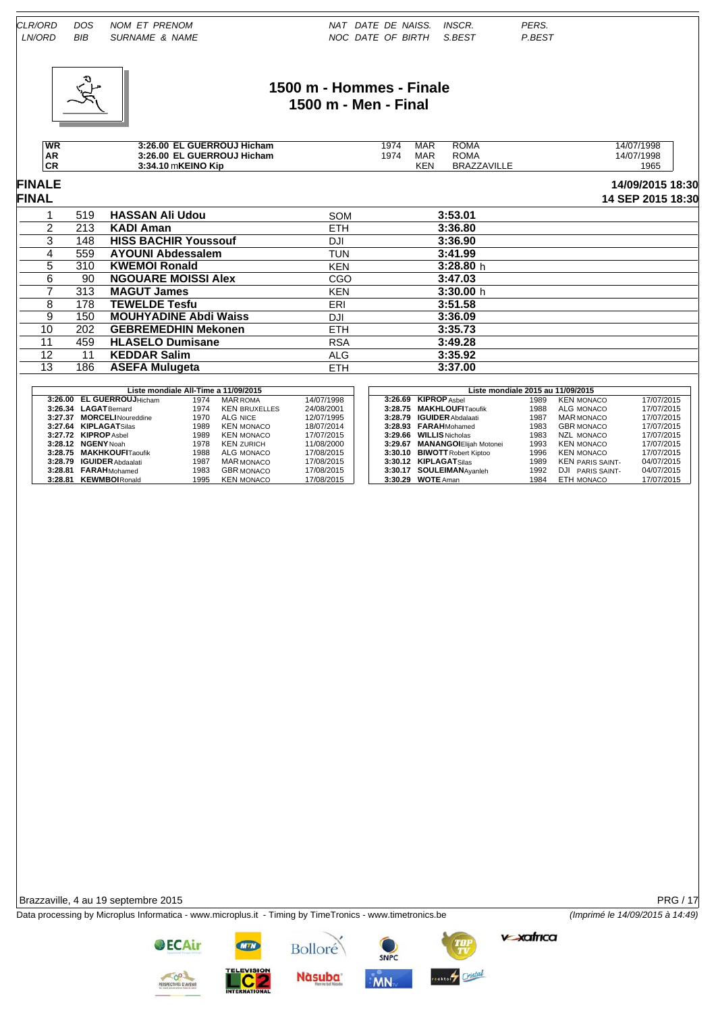

# **1500 m - Hommes - Finale 1500 m - Men - Final**

| <b>WR</b>      | . GUERROUJ Hicham<br>3:26.00       | '974 | MAR        | <b>ROMA</b>        | 14/07/1998 |
|----------------|------------------------------------|------|------------|--------------------|------------|
| <b>AR</b>      | GUERROUJ Hicham .<br>3:26.00<br>EL | '974 | MAR        | <b>ROMA</b>        | 14/07/1998 |
| <b>CE</b><br>◡ | 3:34.10 mKEINO Kip                 |      | <b>KEN</b> | <b>BRAZZAVILLE</b> | 1965       |

#### **FINALE 14/09/2015 18:30 FINAL 14 SEP 2015 18:30**

|                   | 519 | <b>HASSAN Ali Udou</b>       | <b>SOM</b> | 3:53.01   |  |
|-------------------|-----|------------------------------|------------|-----------|--|
| 2                 | 213 | KADI Aman                    | <b>ETH</b> | 3:36.80   |  |
| 3                 | 148 | <b>HISS BACHIR Youssouf</b>  | DJI        | 3:36.90   |  |
| 4                 | 559 | <b>AYOUNI Abdessalem</b>     | <b>TUN</b> | 3:41.99   |  |
| 5                 | 310 | <b>KWEMOI Ronald</b>         | <b>KEN</b> | 3:28.80h  |  |
| 6                 | 90  | <b>NGOUARE MOISSI Alex</b>   | CGO        | 3:47.03   |  |
|                   | 313 | <b>MAGUT James</b>           | <b>KEN</b> | 3:30.00 h |  |
| 8                 | 178 | <b>TEWELDE Tesfu</b>         | ERI        | 3:51.58   |  |
| 9                 | 150 | <b>MOUHYADINE Abdi Waiss</b> | DJI        | 3:36.09   |  |
| 10                | 202 | <b>GEBREMEDHIN Mekonen</b>   | <b>ETH</b> | 3:35.73   |  |
| 11                | 459 | <b>HLASELO Dumisane</b>      | <b>RSA</b> | 3:49.28   |  |
| $12 \overline{ }$ |     | <b>KEDDAR Salim</b>          | ALG        | 3:35.92   |  |
| 13                | 186 | <b>ASEFA Mulugeta</b>        | <b>ETH</b> | 3:37.00   |  |
|                   |     |                              |            |           |  |

|  |                           |      | Liste mondiale All-Time a 11/09/2015 |            |  |                                 | Liste mondiale 2015 au 11/09/2015 |                 |
|--|---------------------------|------|--------------------------------------|------------|--|---------------------------------|-----------------------------------|-----------------|
|  | 3:26.00 EL GUERROUJHicham | 1974 | <b>MAR ROMA</b>                      | 14/07/1998 |  | 3:26.69 KIPROP Ashel            | 1989                              | <b>KEN MON</b>  |
|  | 3:26.34 LAGATBernard      | 1974 | <b>KEN BRUXELLES</b>                 | 24/08/2001 |  | 3:28.75 MAKHLOUFITaoufik        | 1988                              | ALG MON         |
|  | 3:27.37 MORCELINoureddine | 1970 | ALG NICE                             | 12/07/1995 |  | 3:28.79 IGUIDER Abdalaati       | 1987                              | <b>MAR MON</b>  |
|  | 3:27.64 KIPLAGATSilas     | 1989 | KEN MONACO                           | 18/07/2014 |  | 3:28.93 FARAHMohamed            | 1983                              | <b>GBR MON</b>  |
|  | 3:27.72 KIPROP Ashel      | 1989 | <b>KEN MONACO</b>                    | 17/07/2015 |  | 3:29.66 WILLIS Nicholas         | 1983                              | NZL MON         |
|  | 3:28.12 NGENY Noah        | 1978 | <b>KEN ZURICH</b>                    | 11/08/2000 |  | 3:29.67 MANANGOI Elijah Motonei | 1993                              | <b>KEN MON</b>  |
|  | 3:28.75 MAKHKOUFITaoufik  | 1988 | ALG MONACO                           | 17/08/2015 |  | 3:30.10 BIWOTT Robert Kiptoo    | 1996                              | <b>KEN MON</b>  |
|  | 3:28.79 IGUIDER Abdaalati | 1987 | MAR MONACO                           | 17/08/2015 |  | 3:30.12 KIPLAGATSilas           | 1989                              | <b>KEN PARI</b> |
|  | 3:28.81 FARAHMohamed      | 1983 | <b>GBR MONACO</b>                    | 17/08/2015 |  | 3:30.17 SOULEIMANAvanleh        | 1992                              | DJI<br>PARI     |
|  | 3:28.81 KEWMBOIRonald     | 1995 | <b>KEN MONACO</b>                    | 17/08/2015 |  | 3:30.29 WOTE Aman               | 1984                              | ETH MON         |

|                            |      | Liste mondiale All-Time a 11/09/2015 |            |         | Liste mondiale 2015 au 11/09/2015 |      |                         |            |
|----------------------------|------|--------------------------------------|------------|---------|-----------------------------------|------|-------------------------|------------|
| 3:26.00 EL GUERROUJHicham  | 1974 | MAR ROMA                             | 14/07/1998 |         | 3:26.69 KIPROP Ashel              | 1989 | <b>KEN MONACO</b>       | 17/07/2015 |
| 3:26.34 LAGATBernard       | 1974 | <b>KEN BRUXELLES</b>                 | 24/08/2001 |         | 3:28.75 MAKHLOUFITaoufik          | 1988 | ALG MONACO              | 17/07/2015 |
| 3:27.37 MORCELI Noureddine | 1970 | ALG NICE                             | 12/07/1995 |         | 3:28.79 IGUIDER Abdalaati         | 1987 | MAR MONACO              | 17/07/2015 |
| 3:27.64 KIPLAGATSilas      | 1989 | KEN MONACO                           | 18/07/2014 |         | 3:28.93 FARAHMohamed              | 1983 | <b>GBR MONACO</b>       | 17/07/2015 |
| 3:27.72 KIPROPAshel        | 1989 | <b>KEN MONACO</b>                    | 17/07/2015 |         | 3:29.66 WILLIS Nicholas           | 1983 | NZL MONACO              | 17/07/2015 |
| 3:28.12 NGENY Noah         | 1978 | <b>KEN ZURICH</b>                    | 11/08/2000 | 3:29.67 | <b>MANANGOIEliiah Motonei</b>     | 1993 | <b>KEN MONACO</b>       | 17/07/2015 |
| 3:28.75 MAKHKOUFITaoufik   | 1988 | ALG MONACO                           | 17/08/2015 |         | 3:30.10 BIWOTT Robert Kiptoo      | 1996 | <b>KEN MONACO</b>       | 17/07/2015 |
| 3:28.79 IGUIDER Abdaalati  | 1987 | <b>MAR MONACO</b>                    | 17/08/2015 |         | 3:30.12 KIPLAGATSilas             | 1989 | <b>KEN PARIS SAINT-</b> | 04/07/2015 |
| 3:28.81 FARAHMohamed       | 1983 | <b>GBR MONACO</b>                    | 17/08/2015 |         | 3:30.17 SOULEIMANAvanleh          | 1992 | DJI PARIS SAINT-        | 04/07/2015 |
| 3:28.81 KEWMBOIRonald      | 1995 | KEN MONACO                           | 17/08/2015 |         | 3:30.29 WOTE Aman                 | 1984 | ETH MONACO              | 17/07/2015 |

Brazzaville, 4 au 19 septembre 2015 PRG / 17

Data processing by Microplus Informatica - www.microplus.it - Timing by TimeTronics - www.timetronics.be *(Imprimé le 14/09/2015 à 14:49)*



**OECAir** 

**Nàsuba** 

Bolloré



MN



**v**-xafrica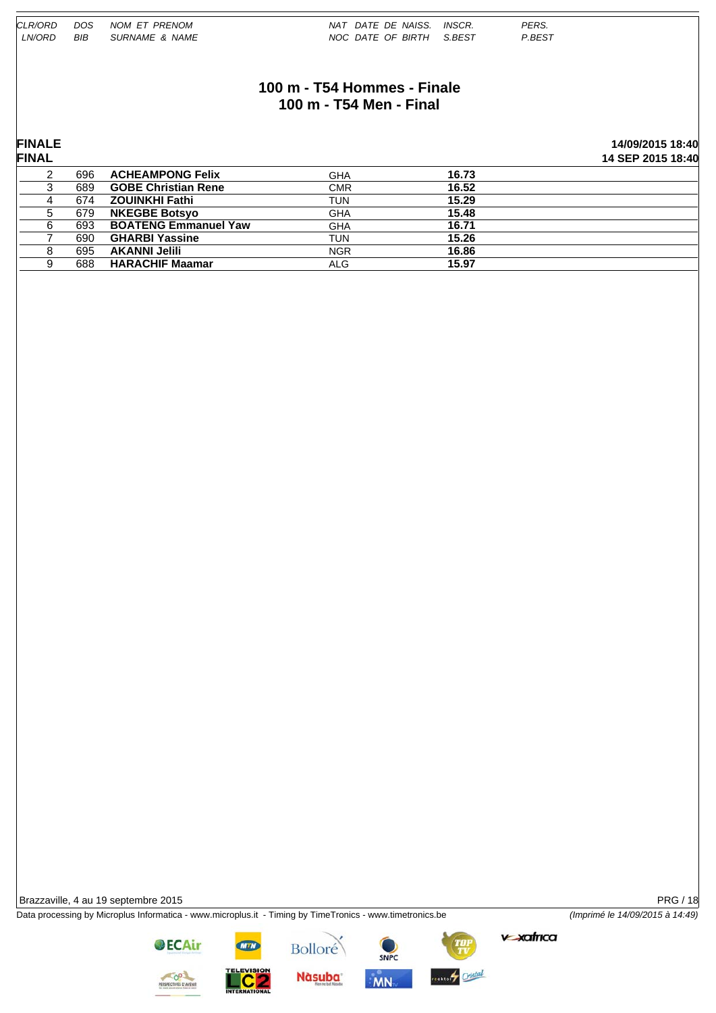| CLR/ORD       | <b>DOS</b> | NOM ET PRENOM               | NAT DATE DE NAISS.          | INSCR. | PERS.  |                   |
|---------------|------------|-----------------------------|-----------------------------|--------|--------|-------------------|
| LN/ORD        | BIB        | SURNAME & NAME              | NOC DATE OF BIRTH S.BEST    |        | P.BEST |                   |
|               |            |                             |                             |        |        |                   |
|               |            |                             |                             |        |        |                   |
|               |            |                             | 100 m - T54 Hommes - Finale |        |        |                   |
|               |            |                             |                             |        |        |                   |
|               |            |                             | 100 m - T54 Men - Final     |        |        |                   |
|               |            |                             |                             |        |        |                   |
|               |            |                             |                             |        |        |                   |
| <b>FINALE</b> |            |                             |                             |        |        | 14/09/2015 18:40  |
| <b>FINAL</b>  |            |                             |                             |        |        | 14 SEP 2015 18:40 |
| 2             | 696        | <b>ACHEAMPONG Felix</b>     | <b>GHA</b>                  | 16.73  |        |                   |
| 3             | 689        | <b>GOBE Christian Rene</b>  | <b>CMR</b>                  | 16.52  |        |                   |
| 4             | 674        | <b>ZOUINKHI Fathi</b>       | <b>TUN</b>                  | 15.29  |        |                   |
| 5             | 679        | <b>NKEGBE Botsyo</b>        | <b>GHA</b>                  | 15.48  |        |                   |
| 6             | 693        | <b>BOATENG Emmanuel Yaw</b> | <b>GHA</b>                  | 16.71  |        |                   |
|               | 690        | <b>GHARBI Yassine</b>       | <b>TUN</b>                  | 15.26  |        |                   |
| 8             | 695        | <b>AKANNI Jelili</b>        | <b>NGR</b>                  | 16.86  |        |                   |
| 9             | 688        | <b>HARACHIF Maamar</b>      | <b>ALG</b>                  | 15.97  |        |                   |
|               |            |                             |                             |        |        |                   |

Brazzaville, 4 au 19 septembre 2015 PRG / 18

Data processing by Microplus Informatica - www.microplus.it - Timing by TimeTronics - www.timetronics.be *(Imprimé le 14/09/2015 à 14:49)*

 $v$ -xafrica



**OECAir** 



SNPC **MN** 

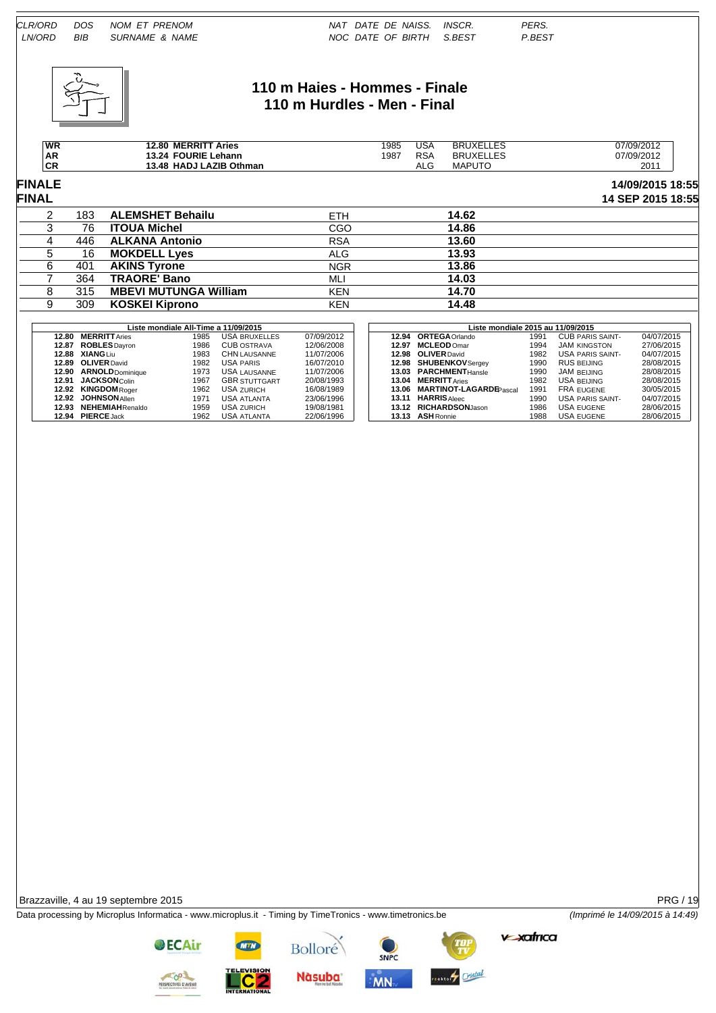

# **110 m Haies - Hommes - Finale 110 m Hurdles - Men - Final**

| <b>WR</b>       | <b>MERRITT</b><br>Aries<br>12.80         | 1985<br>- - - | USA<br>__                | .ES<br>UXELI<br><b>BR</b>  | 07/09/2012 |
|-----------------|------------------------------------------|---------------|--------------------------|----------------------------|------------|
| AR <sup>.</sup> | <b>FOURIE</b><br>Lehann<br>13.24         | 1987          | <b>RSA</b><br>$-$        | _ES<br>'UXFLI<br><b>BR</b> | 07/09/2012 |
| СR              | .AZIB<br>Othman<br><b>HADJ</b><br>. 3.48 |               | $\Delta$ $\Gamma$<br>ALC | <b>MAPUTC</b>              | 201        |

# **FINALE 14/09/2015 18:55**

| <b>FINAL</b> |     |                              |            |       | 14 SEP 2015 18:55 |
|--------------|-----|------------------------------|------------|-------|-------------------|
|              | 183 | <b>ALEMSHET Behailu</b>      | ETH        | 14.62 |                   |
|              | 76  | <b>ITOUA Michel</b>          | CGO        | 14.86 |                   |
|              | 446 | <b>ALKANA Antonio</b>        | <b>RSA</b> | 13.60 |                   |
|              | 16  | <b>MOKDELL Lyes</b>          | ALG        | 13.93 |                   |
|              | 401 | <b>AKINS Tyrone</b>          | <b>NGR</b> | 13.86 |                   |
|              | 364 | <b>TRAORE' Bano</b>          | MLI        | 14.03 |                   |
|              | 315 | <b>MBEVI MUTUNGA William</b> | <b>KEN</b> | 14.70 |                   |
|              | 309 | <b>KOSKEI Kiprono</b>        | KEN        | 14.48 |                   |

|       |                         | Liste mondiale All-Time a 11/09/2015 |                      |            |       | Liste mondiale 2015 au 11/09/2015 |                               |      |                         |            |  |
|-------|-------------------------|--------------------------------------|----------------------|------------|-------|-----------------------------------|-------------------------------|------|-------------------------|------------|--|
| 12.80 | <b>MERRITT</b> Aries    | 1985                                 | USA BRUXELLES        | 07/09/2012 |       |                                   | 12.94 ORTEGA Orlando          | 1991 | <b>CUB PARIS SAINT-</b> | 04/07/2015 |  |
| 12.87 | <b>ROBLES</b> Dayron    | 1986                                 | <b>CUB OSTRAVA</b>   | 12/06/2008 | 12.97 |                                   | <b>MCLEOD Omar</b>            | 1994 | <b>JAM KINGSTON</b>     | 27/06/2015 |  |
| 12.88 | <b>XIANG</b> Liu        | 1983                                 | <b>CHN LAUSANNE</b>  | 11/07/2006 |       |                                   | 12.98 OLIVER David            | 1982 | <b>USA PARIS SAINT-</b> | 04/07/2015 |  |
| 12.89 | <b>OLIVER</b> David     | 1982                                 | <b>USA PARIS</b>     | 16/07/2010 |       |                                   | 12.98 SHUBENKOV Sergey        | 1990 | RUS BEIJING             | 28/08/2015 |  |
| 12.90 | <b>ARNOLD</b> Dominique | 1973                                 | <b>USA LAUSANNE</b>  | 11/07/2006 |       |                                   | 13.03 PARCHMENTHansle         | 1990 | JAM BEIJING             | 28/08/2015 |  |
| 12.91 | <b>JACKSON</b> Colin    | 1967                                 | <b>GBR STUTTGART</b> | 20/08/1993 | 13.04 |                                   | <b>MERRITT</b> Aries          | 1982 | USA BEIJING             | 28/08/2015 |  |
| 12.92 | <b>KINGDOM</b> Roger    | 1962                                 | <b>USA ZURICH</b>    | 16/08/1989 |       | 13.06                             | <b>MARTINOT-LAGARDEPascal</b> | 1991 | FRA EUGENE              | 30/05/2015 |  |
| 12.92 | <b>JOHNSON</b> Allen    | 1971                                 | <b>USA ATLANTA</b>   | 23/06/1996 | 13.11 |                                   | <b>HARRIS</b> Aleec           | 1990 | <b>USA PARIS SAINT-</b> | 04/07/2015 |  |
| 12.93 | <b>NEHEMIAHRenaldo</b>  | 1959                                 | <b>USA ZURICH</b>    | 19/08/1981 |       |                                   | 13.12 RICHARDSONJason         | 1986 | <b>USA EUGENE</b>       | 28/06/2015 |  |
| 12.94 | <b>PIERCE Jack</b>      | 1962                                 | USA ATLANTA          | 22/06/1996 |       |                                   | 13.13 ASH Ronnie              | 1988 | <b>USA EUGENE</b>       | 28/06/2015 |  |

Brazzaville, 4 au 19 septembre 2015 PRG / 19

Data processing by Microplus Informatica - www.microplus.it - Timing by TimeTronics - www.timetronics.be *(Imprimé le 14/09/2015 à 14:49)*

Bolloré

**Nàsuba** 

SNPC

MN

**v**-xafrica

stuff Cristal



**OECAir**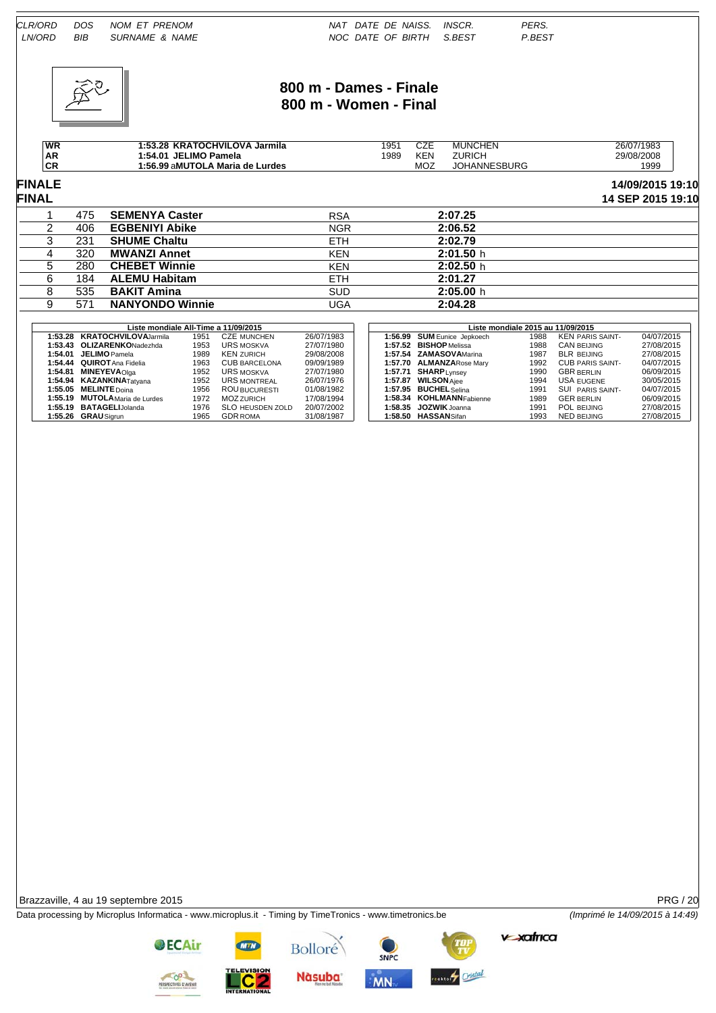

## **800 m - Dames - Finale 800 m - Women - Final**

| WR                    | <b>KRATOCHVILOVA Jarmila</b><br>1:53.28 | 1951 | ヘフロ<br>◡▵ | <b>MUNCHEN</b>      | 26/07/1983 |
|-----------------------|-----------------------------------------|------|-----------|---------------------|------------|
| AR                    | JELIMO Pamela<br>1:54.01                | 1989 | KEN.      | <b>ZURICH</b>       | 29/08/2008 |
| CD <sup>-1</sup><br>◡ | 1:56.99 aMUTOLA Maria de Lurdes         |      | MOZ       | <b>JOHANNESBURG</b> | 1999       |

**FINALE 14/09/2015 19:10 FINAL 14 SEP 2015 19:10**

|     |                        |            | .         |
|-----|------------------------|------------|-----------|
| 475 | <b>SEMENYA Caster</b>  | <b>RSA</b> | 2:07.25   |
| 406 | <b>EGBENIYI Abike</b>  | <b>NGR</b> | 2:06.52   |
| 231 | <b>SHUME Chaltu</b>    | <b>ETH</b> | 2:02.79   |
| 320 | <b>MWANZI Annet</b>    | <b>KEN</b> | 2:01.50h  |
| 280 | <b>CHEBET Winnie</b>   | <b>KEN</b> | 2:02.50h  |
| 184 | <b>ALEMU Habitam</b>   | <b>ETH</b> | 2:01.27   |
| 535 | <b>BAKIT Amina</b>     | <b>SUD</b> | 2:05.00 h |
| 571 | <b>NANYONDO Winnie</b> | UGA        | 2:04.28   |

|         | Liste mondiale All-Time a 11/09/2015 |      |                         |            |  |  | Liste mondiale 2015 au 11/09/2015 |      |                         |            |  |  |
|---------|--------------------------------------|------|-------------------------|------------|--|--|-----------------------------------|------|-------------------------|------------|--|--|
|         | 1:53.28 KRATOCHVILOVAJarmila         | 1951 | <b>CZE MUNCHEN</b>      | 26/07/1983 |  |  | 1:56.99 SUM Eunice Jepkoech       | 1988 | <b>KEN PARIS SAINT-</b> | 04/07/2015 |  |  |
|         | 1:53.43 OLIZARENKONadezhda           | 1953 | <b>URS MOSKVA</b>       | 27/07/1980 |  |  | 1:57.52 BISHOP Melissa            | 1988 | CAN BEIJING             | 27/08/2015 |  |  |
| 1:54.01 | <b>JELIMO</b> Pamela                 | 1989 | KEN ZURICH              | 29/08/2008 |  |  | 1:57.54 ZAMASOVAMarina            | 1987 | <b>BLR BEIJING</b>      | 27/08/2015 |  |  |
|         | 1:54.44 QUIROT Ana Fidelia           | 1963 | <b>CUB BARCELONA</b>    | 09/09/1989 |  |  | 1:57.70 ALMANZARose Mary          | 1992 | <b>CUB PARIS SAINT-</b> | 04/07/2015 |  |  |
| 1:54.81 | <b>MINEYEVA</b> Olga                 | 1952 | URS MOSKVA              | 27/07/1980 |  |  | 1:57.71 SHARPLynsey               | 1990 | <b>GBR BERLIN</b>       | 06/09/2015 |  |  |
|         | 1:54.94 KAZANKINATatvana             | 1952 | <b>URS MONTREAL</b>     | 26/07/1976 |  |  | 1:57.87 WILSON Aiee               | 1994 | <b>USA EUGENE</b>       | 30/05/2015 |  |  |
|         | 1:55.05 MELINTE Doina                | 1956 | <b>ROU BUCURESTI</b>    | 01/08/1982 |  |  | 1:57.95 BUCHEL Selina             | 1991 | <b>SUI PARIS SAINT-</b> | 04/07/2015 |  |  |
|         | 1:55.19 MUTOLA Maria de Lurdes       | 1972 | <b>MOZ ZURICH</b>       | 17/08/1994 |  |  | 1:58.34 KOHLMANNFabienne          | 1989 | <b>GER BERLIN</b>       | 06/09/2015 |  |  |
|         | 1:55.19 BATAGELIJolanda              | 1976 | <b>SLO HEUSDEN ZOLD</b> | 20/07/2002 |  |  | $1:58.35$ JOZWIK Joanna           | 1991 | POL BEIJING             | 27/08/2015 |  |  |
|         | 1:55.26 GRAU Sigrun                  | 1965 | <b>GDR ROMA</b>         | 31/08/1987 |  |  | 1:58.50 HASSANSifan               | 1993 | <b>NED BEIJING</b>      | 27/08/2015 |  |  |

Brazzaville, 4 au 19 septembre 2015 PRG / 20

Data processing by Microplus Informatica - www.microplus.it - Timing by TimeTronics - www.timetronics.be *(Imprimé le 14/09/2015 à 14:49)*

Bolloré

**Nàsuba** 

SNPC

**MN** 

ester Cristal

**OECAir** 

**v**-xafrica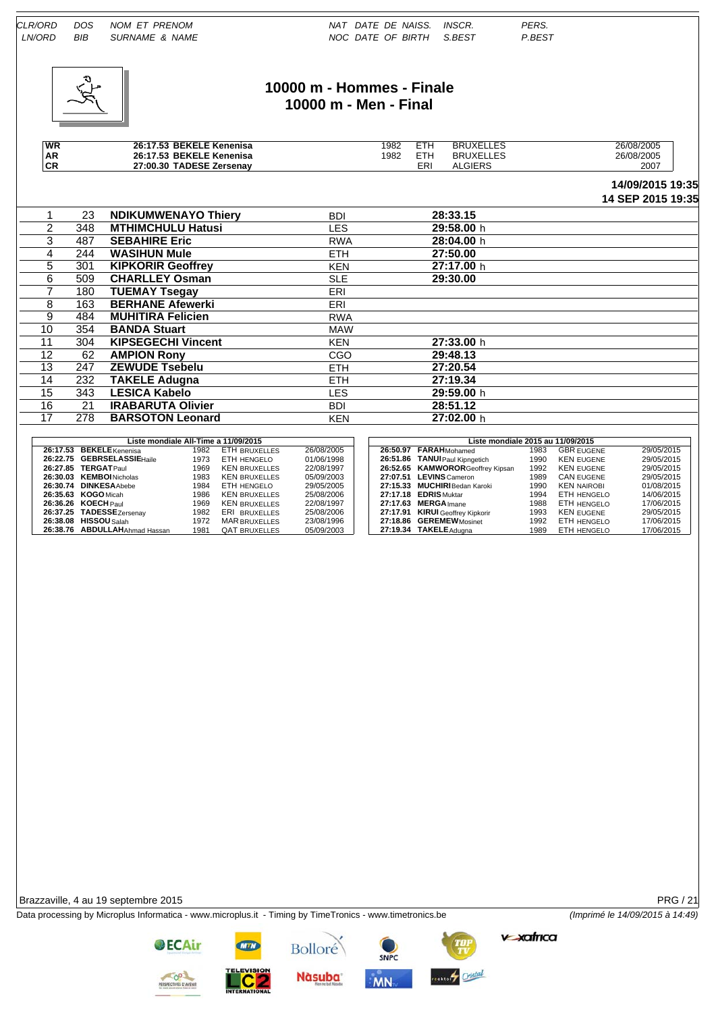

### **10000 m - Hommes - Finale 10000 m - Men - Final**

| WR           | <b>BEKELE Kenenisa</b><br>26:17.53 | 1982 | ETH        | ⊃⊐ ו<br>BRI<br>----- | 26/08/2005 |
|--------------|------------------------------------|------|------------|----------------------|------------|
| <b>AR</b>    | <b>BEKELE Kenenisa</b><br>26:17.53 | 1982 | ттн        | I E<br><b>BRUXEL</b> | 26/08/2005 |
| $\sim$<br>νr | TADESE Zersenav<br>27:00.30        |      | <b>ERI</b> | GIERS<br>Δ           | 2007       |

#### **14/09/2015 19:35 14 SEP 2015 19:35**

|                   |     |                            |            |            | IT ULI LUIV IU.UU |
|-------------------|-----|----------------------------|------------|------------|-------------------|
|                   | 23  | <b>NDIKUMWENAYO Thiery</b> | <b>BDI</b> | 28:33.15   |                   |
| $\overline{2}$    | 348 | <b>MTHIMCHULU Hatusi</b>   | <b>LES</b> | 29:58.00 h |                   |
| 3                 | 487 | <b>SEBAHIRE Eric</b>       | <b>RWA</b> | 28:04.00 h |                   |
| 4                 | 244 | <b>WASIHUN Mule</b>        | ETH.       | 27:50.00   |                   |
| 5.                | 301 | <b>KIPKORIR Geoffrey</b>   | <b>KEN</b> | 27:17.00 h |                   |
| 6                 | 509 | <b>CHARLLEY Osman</b>      | <b>SLE</b> | 29:30.00   |                   |
|                   | 180 | <b>TUEMAY Tsegay</b>       | ERI        |            |                   |
| 8                 | 163 | <b>BERHANE Afewerki</b>    | ERI        |            |                   |
| 9                 | 484 | <b>MUHITIRA Felicien</b>   | <b>RWA</b> |            |                   |
| 10                | 354 | <b>BANDA Stuart</b>        | <b>MAW</b> |            |                   |
| 11                | 304 | <b>KIPSEGECHI Vincent</b>  | <b>KEN</b> | 27:33.00 h |                   |
| $12 \overline{ }$ | 62  | <b>AMPION Rony</b>         | CGO        | 29:48.13   |                   |
| 13                | 247 | <b>ZEWUDE Tsebelu</b>      | ETH.       | 27:20.54   |                   |
| 14                | 232 | <b>TAKELE Adugna</b>       | ETH.       | 27:19.34   |                   |
| 15                | 343 | <b>LESICA Kabelo</b>       | <b>LES</b> | 29:59.00 h |                   |
| 16                | 21  | <b>IRABARUTA Olivier</b>   | <b>BDI</b> | 28:51.12   |                   |
| 17                | 278 | <b>BARSOTON Leonard</b>    | <b>KEN</b> | 27:02.00 h |                   |
|                   |     |                            |            |            |                   |

| Liste mondiale All-Time a 11/09/2015 |      |                      |            | Liste mondiale 2015 au 11/09/2015 |                                  |      |                    |            |  |
|--------------------------------------|------|----------------------|------------|-----------------------------------|----------------------------------|------|--------------------|------------|--|
| 26:17.53 BEKELE Kenenisa             | 1982 | ETH BRUXELLES        | 26/08/2005 |                                   | 26:50.97 FARAHMohamed            | 1983 | <b>GBR EUGENE</b>  | 29/05/2015 |  |
| 26:22.75 GEBRSELASSIEHaile           | 1973 | ETH HENGELO          | 01/06/1998 |                                   | 26:51.86 TANUI Paul Kipngetich   | 1990 | <b>KEN EUGENE</b>  | 29/05/2015 |  |
| 26:27.85 TERGATPaul                  | 1969 | <b>KEN BRUXELLES</b> | 22/08/1997 |                                   | 26:52.65 KAMWORORGeoffrey Kipsan | 1992 | <b>KEN EUGENE</b>  | 29/05/2015 |  |
| 26:30.03 KEMBOI Nicholas             | 1983 | <b>KEN BRUXELLES</b> | 05/09/2003 |                                   | 27:07.51 LEVINS Cameron          | 1989 | <b>CAN EUGENE</b>  | 29/05/2015 |  |
| 26:30.74 DINKESA Abebe               | 1984 | ETH HENGELO          | 29/05/2005 |                                   | 27:15.33 MUCHIRI Bedan Karoki    | 1990 | <b>KEN NAIROBI</b> | 01/08/2015 |  |
| 26:35.63 KOGO Micah                  | 1986 | <b>KEN BRUXELLES</b> | 25/08/2006 |                                   | 27:17.18 EDRIS Muktar            | 1994 | <b>ETH HENGELO</b> | 14/06/2015 |  |
| 26:36.26 KOECH Paul                  | 1969 | <b>KEN BRUXELLES</b> | 22/08/1997 |                                   | 27:17.63 MERGA Imane             | 1988 | <b>ETH HENGELO</b> | 17/06/2015 |  |
| 26:37.25 TADESSEZersenay             | 1982 | ERI BRUXELLES        | 25/08/2006 |                                   | 27:17.91 KIRUI Geoffrey Kipkorir | 1993 | <b>KEN EUGENE</b>  | 29/05/2015 |  |
| 26:38.08 HISSOU Salah                | 1972 | <b>MAR BRUXELLES</b> | 23/08/1996 |                                   | 27:18.86 GEREMEWMosinet          | 1992 | <b>ETH HENGELO</b> | 17/06/2015 |  |
| 26:38.76 ABDULLAHAhmad Hassan        | 1981 | <b>QAT BRUXELLES</b> | 05/09/2003 |                                   | 27:19.34 TAKELE Adugna           | 1989 | ETH HENGELO        | 17/06/2015 |  |

Brazzaville, 4 au 19 septembre 2015 PRG / 21

Data processing by Microplus Informatica - www.microplus.it - Timing by TimeTronics - www.timetronics.be *(Imprimé le 14/09/2015 à 14:49)*

Bolloré

**Nàsuba** 

SNPC

MN

estery Cristal

**OECAir** 

**v**-xafrica